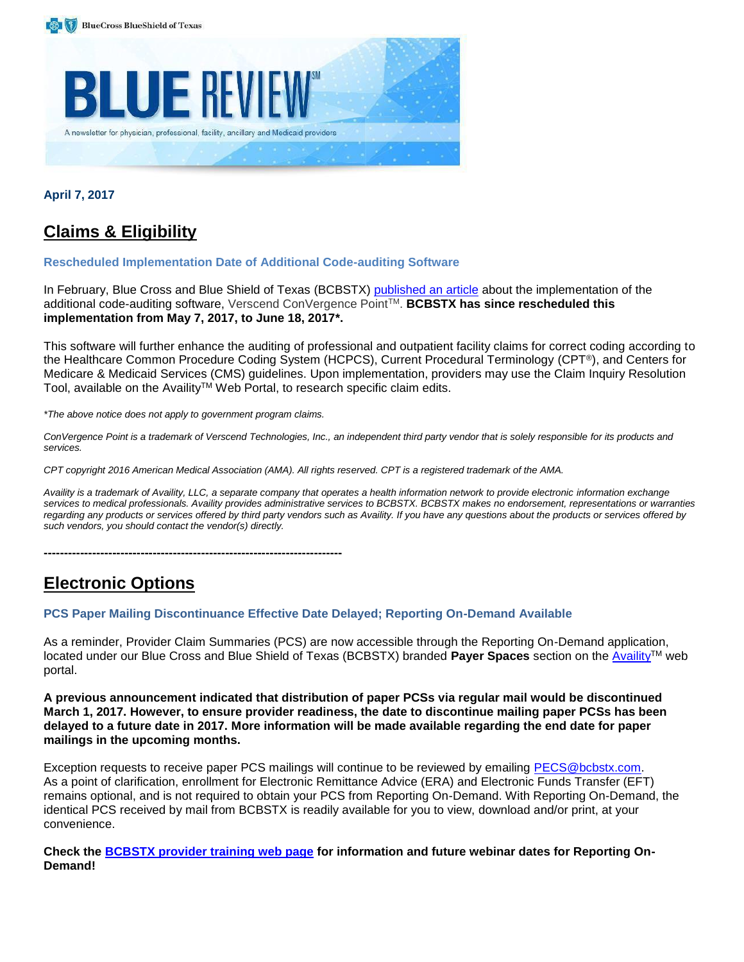



**April 7, 2017**

# **Claims & Eligibility**

**Rescheduled Implementation Date of Additional Code-auditing Software**

In February, Blue Cross and Blue Shield of Texas (BCBSTX) [published an article](https://www.bcbstx.com/provider/news/bluereview.html) about the implementation of the additional code-auditing software, Verscend ConVergence PointTM. **BCBSTX has since rescheduled this implementation from May 7, 2017, to June 18, 2017\*.**

This software will further enhance the auditing of professional and outpatient facility claims for correct coding according to the Healthcare Common Procedure Coding System (HCPCS), Current Procedural Terminology (CPT®), and Centers for Medicare & Medicaid Services (CMS) guidelines. Upon implementation, providers may use the Claim Inquiry Resolution Tool, available on the Availity™ Web Portal, to research specific claim edits.

*\*The above notice does not apply to government program claims.*

*ConVergence Point is a trademark of Verscend Technologies, Inc., an independent third party vendor that is solely responsible for its products and services.*

*CPT copyright 2016 American Medical Association (AMA). All rights reserved. CPT is a registered trademark of the AMA.*

*Availity is a trademark of Availity, LLC, a separate company that operates a health information network to provide electronic information exchange services to medical professionals. Availity provides administrative services to BCBSTX. BCBSTX makes no endorsement, representations or warranties regarding any products or services offered by third party vendors such as Availity. If you have any questions about the products or services offered by such vendors, you should contact the vendor(s) directly.*

**--------------------------------------------------------------------------**

# **Electronic Options**

#### **PCS Paper Mailing Discontinuance Effective Date Delayed; Reporting On-Demand Available**

As a reminder, Provider Claim Summaries (PCS) are now accessible through the Reporting On-Demand application, located under our Blue Cross and Blue Shield of Texas (BCBSTX) branded **Payer Spaces** section on the [Availity](https://www.availity.com/)TM web portal.

**A previous announcement indicated that distribution of paper PCSs via regular mail would be discontinued March 1, 2017. However, to ensure provider readiness, the date to discontinue mailing paper PCSs has been delayed to a future date in 2017. More information will be made available regarding the end date for paper mailings in the upcoming months.** 

Exception requests to receive paper PCS mailings will continue to be reviewed by emailing [PECS@bcbstx.com.](http://www.pages02.net/hcscnosuppression/blue_review_march_2017/LPT.url?kn=983049&vs=MWM1NDk4YTktNDQzNy00ZDJjLWFlZGQtMGZmN2RhY2FmNWYyOzsS1) As a point of clarification, enrollment for Electronic Remittance Advice (ERA) and Electronic Funds Transfer (EFT) remains optional, and is not required to obtain your PCS from Reporting On-Demand. With Reporting On-Demand, the identical PCS received by mail from BCBSTX is readily available for you to view, download and/or print, at your convenience.

**Check the [BCBSTX provider training web page](https://www.bcbstx.com/provider/training/index.html) for information and future webinar dates for Reporting On-Demand!**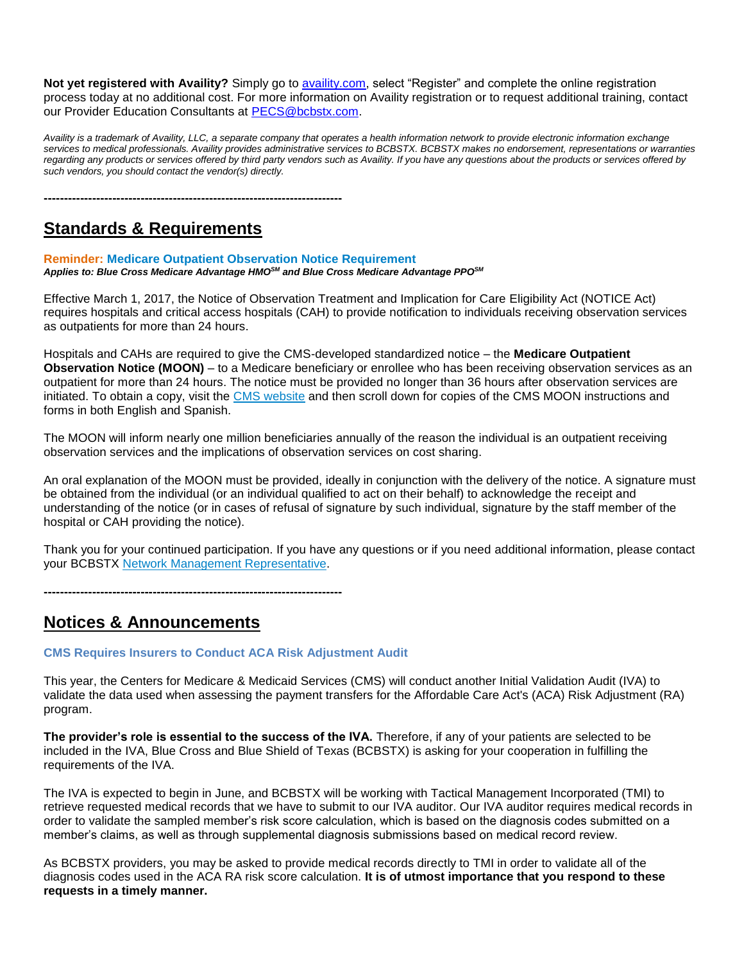**Not yet registered with Availity?** Simply go to [availity.com](https://www.availity.com/), select "Register" and complete the online registration process today at no additional cost. For more information on Availity registration or to request additional training, contact our Provider Education Consultants at [PECS@bcbstx.com.](http://www.pages02.net/hcscnosuppression/blue_review_march_2017/LPT.url?kn=983055&vs=MWM1NDk4YTktNDQzNy00ZDJjLWFlZGQtMGZmN2RhY2FmNWYyOzsS1)

*Availity is a trademark of Availity, LLC, a separate company that operates a health information network to provide electronic information exchange services to medical professionals. Availity provides administrative services to BCBSTX. BCBSTX makes no endorsement, representations or warranties regarding any products or services offered by third party vendors such as Availity. If you have any questions about the products or services offered by such vendors, you should contact the vendor(s) directly.*

**--------------------------------------------------------------------------**

### **Standards & Requirements**

**Reminder: Medicare Outpatient Observation Notice Requirement** *Applies to: Blue Cross Medicare Advantage HMOSM and Blue Cross Medicare Advantage PPOSM*

Effective March 1, 2017, the Notice of Observation Treatment and Implication for Care Eligibility Act (NOTICE Act) requires hospitals and critical access hospitals (CAH) to provide notification to individuals receiving observation services as outpatients for more than 24 hours.

Hospitals and CAHs are required to give the CMS-developed standardized notice – the **Medicare Outpatient Observation Notice (MOON)** – to a Medicare beneficiary or enrollee who has been receiving observation services as an outpatient for more than 24 hours. The notice must be provided no longer than 36 hours after observation services are initiated. To obtain a copy, visit the CMS [website](https://www.cms.gov/Medicare/Medicare-General-Information/BNI/index.html) and then scroll down for copies of the CMS MOON instructions and forms in both English and Spanish.

The MOON will inform nearly one million beneficiaries annually of the reason the individual is an outpatient receiving observation services and the implications of observation services on cost sharing.

An oral explanation of the MOON must be provided, ideally in conjunction with the delivery of the notice. A signature must be obtained from the individual (or an individual qualified to act on their behalf) to acknowledge the receipt and understanding of the notice (or in cases of refusal of signature by such individual, signature by the staff member of the hospital or CAH providing the notice).

Thank you for your continued participation. If you have any questions or if you need additional information, please contact your BCBSTX Network Management [Representative.](https://www.bcbstx.com/provider/contact_us.html#localnetwork)

**--------------------------------------------------------------------------**

### **Notices & Announcements**

**CMS Requires Insurers to Conduct ACA Risk Adjustment Audit**

This year, the Centers for Medicare & Medicaid Services (CMS) will conduct another Initial Validation Audit (IVA) to validate the data used when assessing the payment transfers for the Affordable Care Act's (ACA) Risk Adjustment (RA) program.

The provider's role is essential to the success of the IVA. Therefore, if any of your patients are selected to be included in the IVA, Blue Cross and Blue Shield of Texas (BCBSTX) is asking for your cooperation in fulfilling the requirements of the IVA.

The IVA is expected to begin in June, and BCBSTX will be working with Tactical Management Incorporated (TMI) to retrieve requested medical records that we have to submit to our IVA auditor. Our IVA auditor requires medical records in order to validate the sampled member's risk score calculation, which is based on the diagnosis codes submitted on a member's claims, as well as through supplemental diagnosis submissions based on medical record review.

As BCBSTX providers, you may be asked to provide medical records directly to TMI in order to validate all of the diagnosis codes used in the ACA RA risk score calculation. **It is of utmost importance that you respond to these requests in a timely manner.**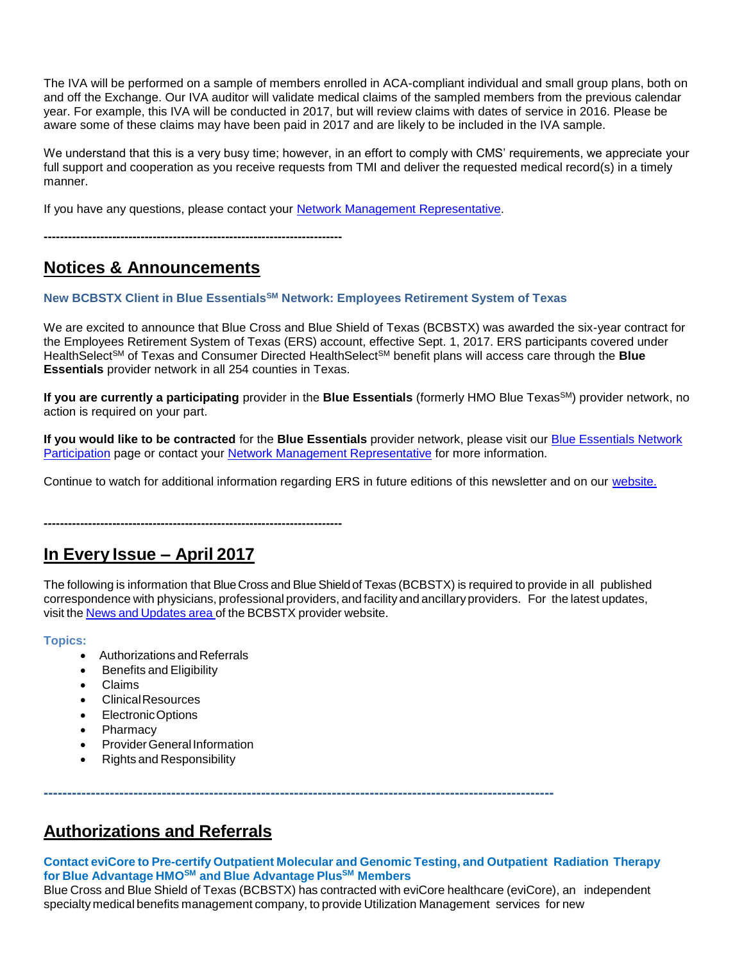The IVA will be performed on a sample of members enrolled in ACA-compliant individual and small group plans, both on and off the Exchange. Our IVA auditor will validate medical claims of the sampled members from the previous calendar year. For example, this IVA will be conducted in 2017, but will review claims with dates of service in 2016. Please be aware some of these claims may have been paid in 2017 and are likely to be included in the IVA sample.

We understand that this is a very busy time; however, in an effort to comply with CMS' requirements, we appreciate your full support and cooperation as you receive requests from TMI and deliver the requested medical record(s) in a timely manner.

If you have any questions, please contact your [Network Management Representative.](https://www.bcbstx.com/provider/contact_us.html)

**--------------------------------------------------------------------------**

## **Notices & Announcements**

#### **New BCBSTX Client in Blue EssentialsSM Network: Employees Retirement System of Texas**

We are excited to announce that Blue Cross and Blue Shield of Texas (BCBSTX) was awarded the six-year contract for the Employees Retirement System of Texas (ERS) account, effective Sept. 1, 2017. ERS participants covered under HealthSelectSM of Texas and Consumer Directed HealthSelectSM benefit plans will access care through the **Blue Essentials** provider network in all 254 counties in Texas.

**If you are currently a participating** provider in the **Blue Essentials** (formerly HMO Blue Texas<sup>SM</sup>) provider network, no action is required on your part.

**If you would like to be contracted** for the **Blue Essentials** provider network, please visit our [Blue Essentials Network](https://www.bcbstx.com/provider/network/blue_essentials_participation.html)  [Participation](https://www.bcbstx.com/provider/network/blue_essentials_participation.html) page or contact your [Network Management Representative](https://www.bcbstx.com/provider/contact_us.html#localnetwork) for more information.

Continue to watch for additional information regarding ERS in future editions of this newsletter and on our [website.](http://www.pages02.net/hcscnosuppression/blue_review_march_2017/LPT.url?kn=983045&vs=MWM1NDk4YTktNDQzNy00ZDJjLWFlZGQtMGZmN2RhY2FmNWYyOzsS1)

**--------------------------------------------------------------------------**

### **In Every Issue – April 2017**

The following is information that Blue Cross and Blue Shield of Texas (BCBSTX) is required to provide in all published correspondence with physicians, professional providers, and facilityand ancillary providers. For the latest updates, visit the News and [Updates](http://www.bcbstx.com/provider/news/index.html) area of the BCBSTX provider website.

#### **Topics:**

- Authorizations and Referrals
- Benefits and Eligibility
- Claims
- ClinicalResources
- ElectronicOptions
- Pharmacy
- ProviderGeneralInformation
- Rights and Responsibility

**------------------------------------------------------------------------------------------------------------**

### **Authorizations and Referrals**

**Contact eviCore to Pre-certify Outpatient Molecular and Genomic Testing, and Outpatient Radiation Therapy for Blue Advantage HMOSM and Blue Advantage PlusSM Members**

Blue Cross and Blue Shield of Texas (BCBSTX) has contracted with eviCore healthcare (eviCore), an independent specialty medical benefits management company, to provide Utilization Management services for new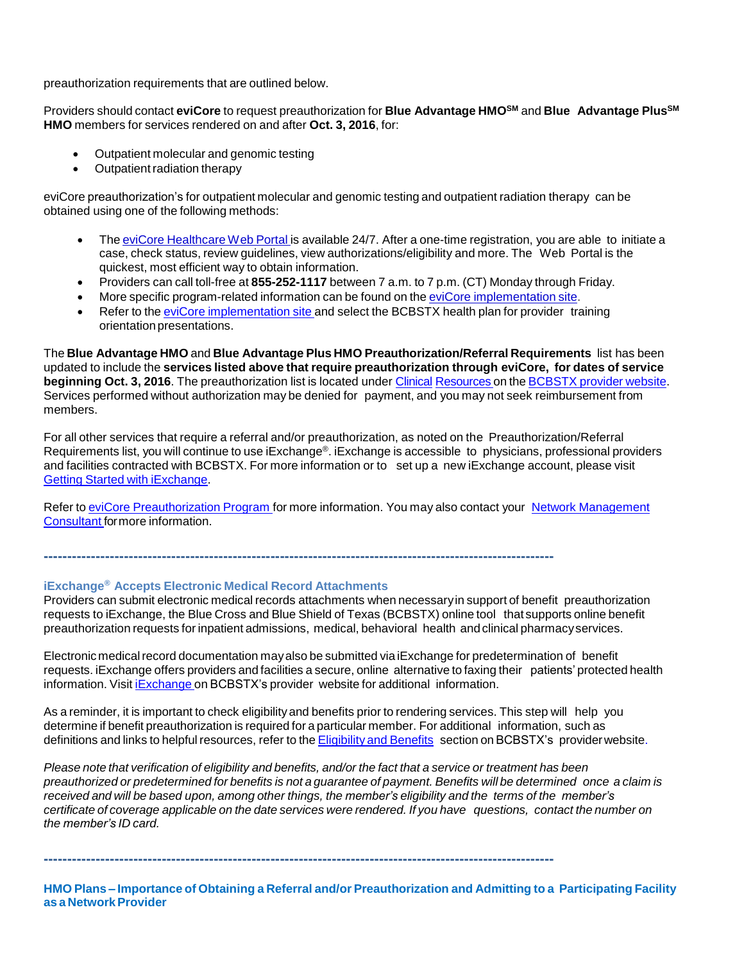preauthorization requirements that are outlined below.

Providers should contact **eviCore** to request preauthorization for **Blue Advantage HMOSM** and **Blue Advantage PlusSM HMO** members for services rendered on and after **Oct. 3, 2016**, for:

- Outpatient molecular and genomic testing
- Outpatient radiation therapy

eviCore preauthorization's for outpatient molecular and genomic testing and outpatient radiation therapy can be obtained using one of the following methods:

- The eviCore [Healthcare](http://www.evicore.com/) Web Portal is available 24/7. After a one-time registration, you are able to initiate a case, check status, review guidelines, view authorizations/eligibility and more. The Web Portal is the quickest, most efficient way to obtain information.
- Providers can call toll-free at **855-252-1117** between 7 a.m. to 7 p.m. (CT) Monday through Friday.
- More specific program-related information can be found on the eviCore [implementation](https://www.carecorenational.com/page/bcbs-implementations.aspx) site.
- Refer to the eviCore [implementation](https://www.carecorenational.com/page/bcbs-implementations.aspx) site and select the BCBSTX health plan for provider training orientation presentations.

The **Blue Advantage HMO** and **Blue Advantage Plus HMO Preauthorization/Referral Requirements** list has been updated to include the **services listed above that require preauthorization through eviCore, for dates of service beginning Oct. 3, 2016**. The preauthorization list is located under [Clinical](https://www.bcbstx.com/provider/clinical/index.html) [Resources](https://www.bcbstx.com/provider/clinical/index.html) on the [BCBSTX](http://www.bcbstx.com/provider/) provider website. Services performed without authorization may be denied for payment, and you may not seek reimbursement from members.

For all other services that require a referral and/or preauthorization, as noted on the Preauthorization/Referral Requirements list, you will continue to use iExchange®. iExchange is accessible to physicians, professional providers and facilities contracted with BCBSTX. For more information or to set up a new iExchange account, please visit Getting Started with [iExchange.](http://www.bcbstx.com/provider/tools/iexchange.html)

Refer to eviCore [Preauthorization](http://www.bcbstx.com/provider/clinical/evicore.html) Program for more information. You may also contact your Network [Management](http://www.bcbstx.com/provider/contact_us.html) [Consultant](http://www.bcbstx.com/provider/contact_us.html) formore information.

**------------------------------------------------------------------------------------------------------------**

#### **iExchange® Accepts Electronic Medical Record Attachments**

Providers can submit electronic medical records attachments when necessaryin support of benefit preauthorization requests to iExchange, the Blue Cross and Blue Shield of Texas (BCBSTX) online tool that supports online benefit preauthorization requests for inpatient admissions, medical, behavioral health and clinical pharmacyservices.

Electronic medical record documentation may also be submitted via iExchange for predetermination of benefit requests. iExchange offers providers and facilities a secure, online alternative to faxing their patients' protected health information. Visit [iExchange](http://www.bcbstx.com/provider/tools/iexchange_index.html) on BCBSTX's provider website for additional information.

As a reminder, it is important to check eligibilityand benefits prior to rendering services. This step will help you determine if benefit preauthorization is required for a particular member. For additional information, such as definitions and links to helpful resources, refer to the [Eligibility](http://www.bcbstx.com/provider/claims/eligibility_and_benefits.html) and Benefits secti[on](http://www.bcbstx.com/provider) on BCBSTX's provider website.

Please note that verification of eligibility and benefits, and/or the fact that a service or treatment has been preauthorized or predetermined for benefits is not a guarantee of payment. Benefits will be determined once a claim is received and will be based upon, among other things, the member's eligibility and the terms of the member's certificate of coverage applicable on the date services were rendered. If you have guestions, contact the number on *the member's ID card.*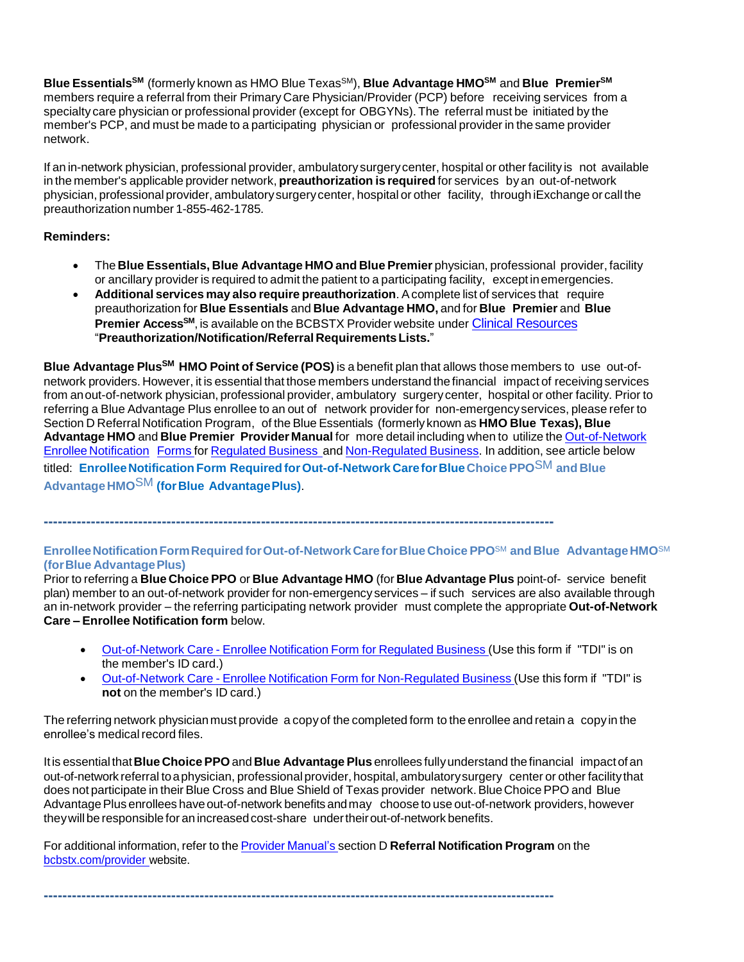**Blue EssentialsSM** (formerly known as HMO Blue TexasSM), **Blue Advantage HMOSM** and **Blue PremierSM** members require a referral from their Primary Care Physician/Provider (PCP) before receiving services from a specialty care physician or professional provider (except for OBGYNs). The referral must be initiated by the member's PCP, and must be made to a participating physician or professional provider in the same provider network.

If an in-network physician, professional provider, ambulatory surgerycenter, hospital or other facility is not available in the member's applicable provider network, **preauthorization is required** for services byan out-of-network physician, professional provider, ambulatorysurgerycenter, hospital or other facility, through iExchange or call the preauthorization number 1-855-462-1785.

### **Reminders:**

- The **Blue Essentials, Blue Advantage HMO and Blue Premier** physician, professional provider, facility or ancillary provider is required to admit the patient to a participating facility, exceptinemergencies.
- **Additional services may also require preauthorization**. Acomplete list of services that require preauthorization for **Blue Essentials** and **Blue Advantage HMO,** and for **Blue Premier** and **Blue Premier AccessSM**, is available on the BCBSTX Provider website under [Clinical Resources](https://www.bcbstx.com/provider/clinical/index.html) "**Preauthorization/Notification/Referral RequirementsLists.**"

**Blue Advantage PlusSM HMO Point of Service (POS)** is a benefit plan that allows those members to use out-ofnetwork providers. However, it is essential that those members understand the financial impact of receiving services from anout-of-network physician, professional provider, ambulatory surgerycenter, hospital or other facility. Prior to referring a Blue Advantage Plus enrollee to an out of network provider for non-emergencyservices, please refer to Section D Referral Notification Program, of the Blue Essentials (formerly known as **HMO Blue Texas), Blue Advantage HMO** and **Blue Premier Provider Manual** for more detail including when to utilize the [Out-of-Network](https://www.bcbstx.com/provider/pdf/out-of-network-care-enrollee-notification-form.pdf) Enrollee [Notification](https://www.bcbstx.com/provider/pdf/out-of-network-care-enrollee-notification-form.pdf) Forms for [Regulated](http://www.bcbstx.com/provider/pdf/out-of-network-care-enrollee-notification-form.pdf) [Business](http://www.bcbstx.com/provider/pdf/out-of-network-care-enrollee-notification-form.pdf) and [Non-Regulated](http://www.bcbstx.com/provider/pdf/out-of-network-care-enrollee-notification-form-nr.pdf) Business. In addition, see article below titled: **EnrolleeNotification Form RequiredforOut-of-Network CareforBlueChoice PPO**SM **and Blue AdvantageHMO**SM **(forBlue AdvantagePlus)**.

**------------------------------------------------------------------------------------------------------------**

### **EnrolleeNotificationFormRequiredforOut-of-NetworkCareforBlueChoice PPO**SM **and Blue AdvantageHMO**SM **(forBlue AdvantagePlus)**

Prior to referring a **Blue Choice PPO** or **Blue Advantage HMO** (for **Blue Advantage Plus** point-of- service benefit plan) member to an out-of-network provider for non-emergency services – if such services are also available through an in-network provider – the referring participating network provider must complete the appropriate **Out-of-Network Care – Enrollee Notification form** below.

- [Out-of-Network](http://www.bcbstx.com/provider/pdf/out-of-network-care-enrollee-notification-form.pdf) Care Enrollee Notification Form for Regulated Business (Use this form if "TDI" is on the member's ID card.)
- [Out-of-Network](http://www.bcbstx.com/provider/pdf/out-of-network-care-enrollee-notification-form-nr.pdf) Care Enrollee Notification Form for Non-Regulated Business (Use this form if "TDI" is **not** on the member's ID card.)

The referring network physicianmust provide a copyof the completed form to the enrollee and retain a copyin the enrollee's medical record files.

Itis essentialthat**Blue Choice PPO** and **Blue Advantage Plus** enrollees fullyunderstand the financial impactof an out-of-network referral toaphysician, professional provider, hospital, ambulatorysurgery center or other facilitythat does not participate in their Blue Cross and Blue Shield of Texas provider network. Blue Choice PPO and Blue Advantage Plus enrollees have out-of-network benefits and may choose to use out-of-network providers, however theywillbe responsible for an increasedcost-share undertheirout-of-network benefits.

For additional information, refer to the Provider [Manual's](http://www.bcbstx.com/provider/gri/index.html) section D **Referral Notification Program** on the [bcbstx.com/provider](http://www.bcbstx.com/provider/index.html) website.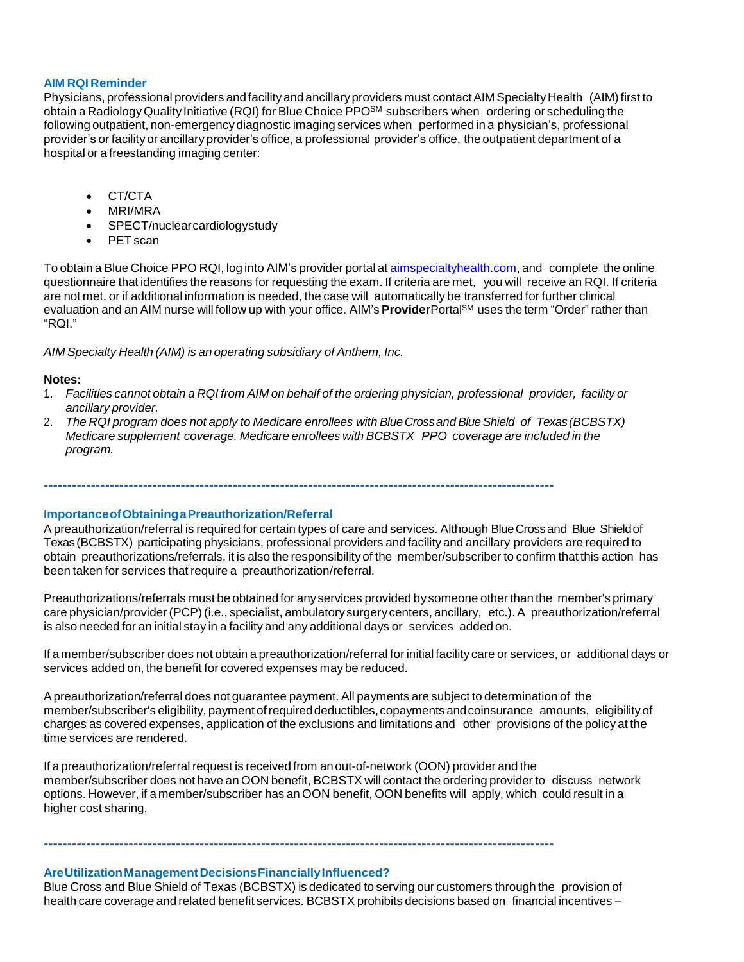#### **AIM RQI Reminder**

Physicians, professional providers and facility and ancillary providers must contact AIM Specialty Health (AIM) first to obtain a Radiology Quality Initiative (RQI) for Blue Choice PPO<sup>SM</sup> subscribers when ordering or scheduling the following outpatient, non-emergency diagnostic imaging services when performed in a physician's, professional provider's or facility or ancillary provider's office, a professional provider's office, the outpatient department of a hospital or a freestanding imaging center:

- CT/CTA
- MRI/MRA
- SPECT/nuclearcardiologystudy
- PET scan

To obtain a Blue Choice PPO RQI, log into AIM's provider portal at [aimspecialtyhealth.com,](http://www.aimspecialtyhealth.com/) and complete the online questionnaire that identifies the reasons for requesting the exam. If criteria are met, you will receive an RQI. If criteria are not met, or if additional information is needed, the case will automatically be transferred for further clinical evaluation and an AIM nurse will follow up with your office. AIM's **Provider**Portal<sup>SM</sup> uses the term "Order" rather than "RQI."

*AIM Specialty Health (AIM) is an operating subsidiary of Anthem, Inc.*

#### **Notes:**

- 1. Facilities cannot obtain a RQI from AIM on behalf of the ordering physician, professional provider, facility or *ancillary provider.*
- 2. *The RQI program does not apply to Medicare enrollees with BlueCrossandBlueShield of Texas(BCBSTX) Medicare supplement coverage. Medicare enrollees with BCBSTX PPO coverage are included in the program.*

**------------------------------------------------------------------------------------------------------------**

#### **ImportanceofObtainingaPreauthorization/Referral**

Apreauthorization/referral is required for certain types of care and services. Although BlueCrossand Blue Shieldof Texas(BCBSTX) participating physicians, professional providers and facility and ancillary providers are required to obtain preauthorizations/referrals, it is also the responsibilityof the member/subscriber to confirm that this action has been taken for services that require a preauthorization/referral.

Preauthorizations/referrals must be obtained for anyservices provided by someone other than the member's primary care physician/provider (PCP)(i.e., specialist, ambulatorysurgery centers, ancillary, etc.). A preauthorization/referral is also needed for an initial stay in a facility and any additional days or services added on.

If a member/subscriber does not obtain a preauthorization/referral for initial facility care or services, or additional days or services added on, the benefit for covered expenses may be reduced.

Apreauthorization/referral does not guarantee payment. All payments are subject to determination of the member/subscriber's eligibility, payment of required deductibles, copayments and coinsurance amounts, eligibility of charges as covered expenses, application of the exclusions and limitations and other provisions of the policy at the time services are rendered.

If a preauthorization/referral request is received from anout-of-network (OON) provider and the member/subscriber does not have an OON benefit, BCBSTX will contact the ordering provider to discuss network options. However, if a member/subscriber has an OON benefit, OON benefits will apply, which could result in a higher cost sharing.

**AreUtilizationManagementDecisionsFinanciallyInfluenced?** Blue Cross and Blue Shield of Texas (BCBSTX) is dedicated to serving our customers through the provision of health care coverage and related benefit services. BCBSTX prohibits decisions based on financial incentives –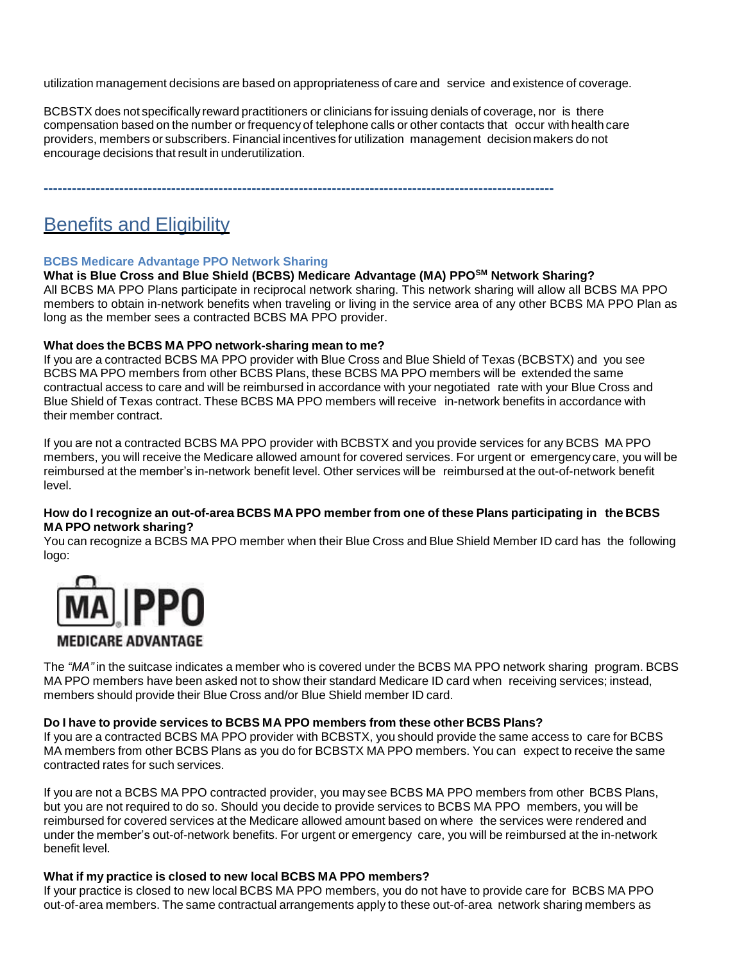utilization management decisions are based on appropriateness of care and service and existence of coverage.

BCBSTX does not specifically reward practitioners or clinicians for issuing denials of coverage, nor is there compensation based on the number or frequency of telephone calls or other contacts that occur with health care providers, members or subscribers. Financial incentives for utilization management decision makers do not encourage decisions that result in underutilization.

**------------------------------------------------------------------------------------------------------------**

# Benefits and Eligibility

#### **BCBS Medicare Advantage PPO Network Sharing**

**What is Blue Cross and Blue Shield (BCBS) Medicare Advantage (MA) PPOSM Network Sharing?** All BCBS MA PPO Plans participate in reciprocal network sharing. This network sharing will allow all BCBS MA PPO members to obtain in-network benefits when traveling or living in the service area of any other BCBS MA PPO Plan as long as the member sees a contracted BCBS MA PPO provider.

#### **What does the BCBS MA PPO network-sharing mean to me?**

If you are a contracted BCBS MA PPO provider with Blue Cross and Blue Shield of Texas (BCBSTX) and you see BCBS MA PPO members from other BCBS Plans, these BCBS MA PPO members will be extended the same contractual access to care and will be reimbursed in accordance with your negotiated rate with your Blue Cross and Blue Shield of Texas contract. These BCBS MA PPO members will receive in-network benefits in accordance with their member contract.

If you are not a contracted BCBS MA PPO provider with BCBSTX and you provide services for any BCBS MA PPO members, you will receive the Medicare allowed amount for covered services. For urgent or emergency care, you will be reimbursed at the member's in-network benefit level. Other services will be reimbursed at the out-of-network benefit level.

#### How do I recognize an out-of-area BCBS MA PPO member from one of these Plans participating in the BCBS **MA PPO network sharing?**

You can recognize a BCBS MA PPO member when their Blue Cross and Blue Shield Member ID card has the following logo:



The *"MA"* in the suitcase indicates a member who is covered under the BCBS MA PPO network sharing program. BCBS MA PPO members have been asked not to show their standard Medicare ID card when receiving services; instead, members should provide their Blue Cross and/or Blue Shield member ID card.

#### **Do I have to provide services to BCBS MA PPO members from these other BCBS Plans?**

If you are a contracted BCBS MA PPO provider with BCBSTX, you should provide the same access to care for BCBS MA members from other BCBS Plans as you do for BCBSTX MA PPO members. You can expect to receive the same contracted rates for such services.

If you are not a BCBS MA PPO contracted provider, you may see BCBS MA PPO members from other BCBS Plans, but you are not required to do so. Should you decide to provide services to BCBS MA PPO members, you will be reimbursed for covered services at the Medicare allowed amount based on where the services were rendered and under the member's out-of-network benefits. For urgent or emergency care, you will be reimbursed at the in-network benefit level.

#### **What if my practice is closed to new local BCBS MA PPO members?**

If your practice is closed to new local BCBS MA PPO members, you do not have to provide care for BCBS MA PPO out-of-area members. The same contractual arrangements apply to these out-of-area network sharing members as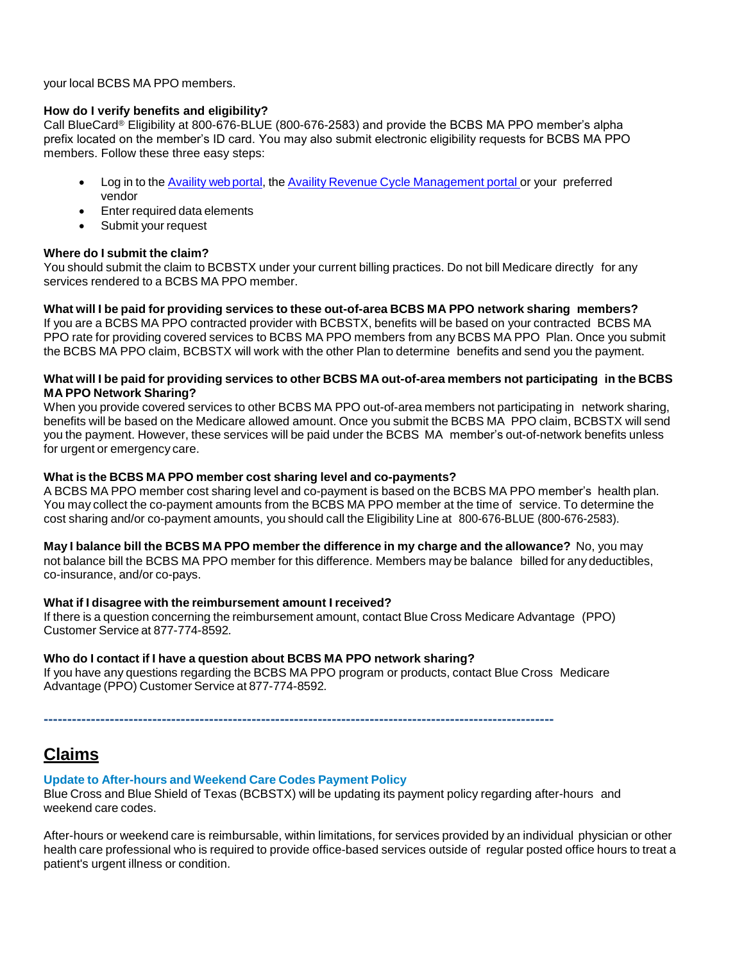your local BCBS MA PPO members.

### **How do I verify benefits and eligibility?**

Call BlueCard® Eligibility at 800-676-BLUE (800-676-2583) and provide the BCBS MA PPO member's alpha prefix located on the member's ID card. You may also submit electronic eligibility requests for BCBS MA PPO members. Follow these three easy steps:

- Log in to the [Availity](https://apps.availity.com/availity/web/public.elegant.login) web portal, the Availity Revenue Cycle [Management](https://www.availity.com/) portal or your preferred vendor
- Enter required data elements
- Submit your request

#### **Where do I submit the claim?**

You should submit the claim to BCBSTX under your current billing practices. Do not bill Medicare directly for any services rendered to a BCBS MA PPO member.

### **What will I be paid for providing services to these out-of-area BCBS MA PPO network sharing members?**

If you are a BCBS MA PPO contracted provider with BCBSTX, benefits will be based on your contracted BCBS MA PPO rate for providing covered services to BCBS MA PPO members from any BCBS MA PPO Plan. Once you submit the BCBS MA PPO claim, BCBSTX will work with the other Plan to determine benefits and send you the payment.

#### What will I be paid for providing services to other BCBS MA out-of-area members not participating in the BCBS **MA PPO Network Sharing?**

When you provide covered services to other BCBS MA PPO out-of-area members not participating in network sharing, benefits will be based on the Medicare allowed amount. Once you submit the BCBS MA PPO claim, BCBSTX will send you the payment. However, these services will be paid under the BCBS MA member's out-of-network benefits unless for urgent or emergency care.

#### **What is the BCBS MA PPO member cost sharing level and co-payments?**

A BCBS MA PPO member cost sharing level and co-payment is based on the BCBS MA PPO member's health plan. You may collect the co-payment amounts from the BCBS MA PPO member at the time of service. To determine the cost sharing and/or co-payment amounts, you should call the Eligibility Line at 800-676-BLUE (800-676-2583).

**May I balance bill the BCBS MA PPO member the difference in my charge and the allowance?** No, you may not balance bill the BCBS MA PPO member for this difference. Members may be balance billed for any deductibles, co-insurance, and/or co-pays.

#### **What if I disagree with the reimbursement amount I received?**

If there is a question concerning the reimbursement amount, contact Blue Cross Medicare Advantage (PPO) Customer Service at 877-774-8592*.*

### **Who do I contact if I have a question about BCBS MA PPO network sharing?**

If you have any questions regarding the BCBS MA PPO program or products, contact Blue Cross Medicare Advantage (PPO) Customer Service at 877-774-8592*.*

**------------------------------------------------------------------------------------------------------------**

# **Claims**

### **Update to After-hours and Weekend Care Codes Payment Policy**

Blue Cross and Blue Shield of Texas (BCBSTX) will be updating its payment policy regarding after-hours and weekend care codes.

After-hours or weekend care is reimbursable, within limitations, for services provided by an individual physician or other health care professional who is required to provide office-based services outside of regular posted office hours to treat a patient's urgent illness or condition.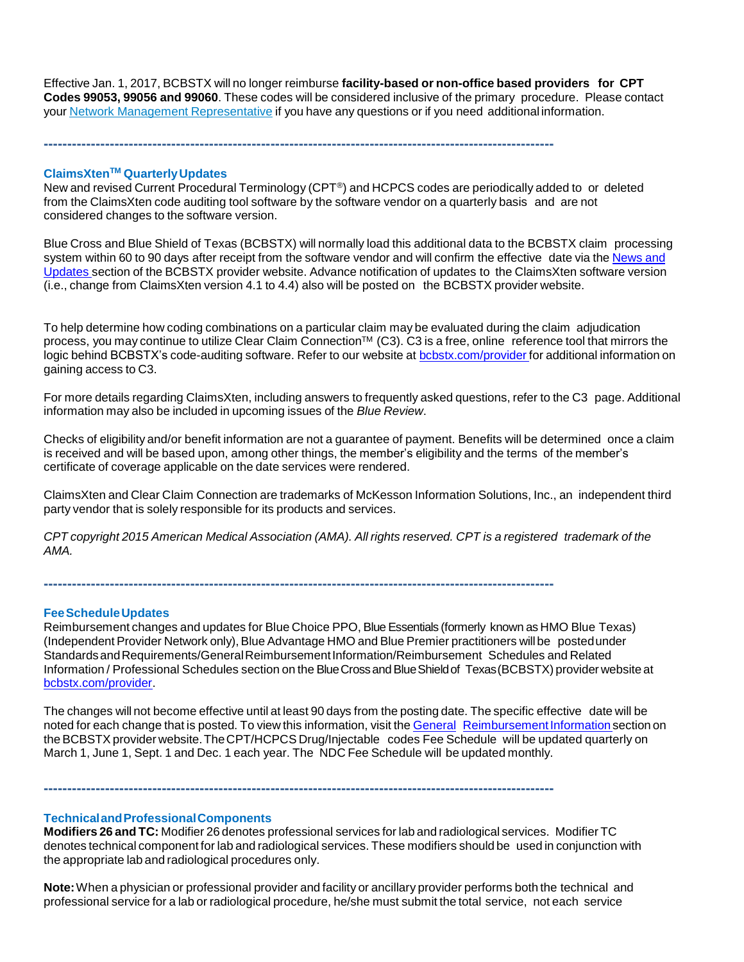Effective Jan. 1, 2017, BCBSTX will no longer reimburse **facility-based or non-office based providers for CPT Codes 99053, 99056 and 99060**. These codes will be considered inclusive of the primary procedure. Please contact your Network Management [Representative](https://www.bcbstx.com/provider/contact_us.html#localnetwork) if you have any questions or if you need additional information.

**------------------------------------------------------------------------------------------------------------**

#### **ClaimsXtenTM QuarterlyUpdates**

New and revised Current Procedural Terminology (CPT®) and HCPCS codes are periodically added to or deleted from the ClaimsXten code auditing tool software by the software vendor on a quarterly basis and are not considered changes to the software version.

Blue Cross and Blue Shield of Texas (BCBSTX) will normally load this additional data to the BCBSTX claim processing system within 60 to 90 days after receipt from the software vendor and will confirm the effective date via the [News](http://www.bcbstx.com/provider/news/index.html) and [Updates](http://www.bcbstx.com/provider/news/index.html) section of the BCBSTX provider website. Advance notification of updates to the ClaimsXten software version (i.e., change from ClaimsXten version 4.1 to 4.4) also will be posted on the BCBSTX provider website.

To help determine how coding combinations on a particular claim may be evaluated during the claim adjudication process, you may continue to utilize Clear Claim Connection™ (C3). C3 is a free, online reference tool that mirrors the logic behind BCBSTX's code-auditing software. Refer to our website at [bcbstx.com/provider](http://www.bcbstx.com/provider/) for additional information on gaining access to C3.

For more details regarding ClaimsXten, including answers to frequently asked questions, refer to the C3 page. Additional information may also be included in upcoming issues of the *Blue Review*.

Checks of eligibility and/or benefit information are not a guarantee of payment. Benefits will be determined once a claim is received and will be based upon, among other things, the member's eligibility and the terms of the member's certificate of coverage applicable on the date services were rendered.

ClaimsXten and Clear Claim Connection are trademarks of McKesson Information Solutions, Inc., an independent third party vendor that is solely responsible for its products and services.

CPT copyright 2015 American Medical Association (AMA). All rights reserved. CPT is a registered trademark of the *AMA.*

#### **FeeScheduleUpdates**

Reimbursement changes and updates for Blue Choice PPO, Blue Essentials (formerly known as HMO Blue Texas) (Independent Provider Network only), Blue Advantage HMO and Blue Premier practitioners will be posted under Standards and Requirements/General Reimbursement Information/Reimbursement Schedules and Related Information / Professional Schedules section on the BlueCrossandBlueShieldof Texas(BCBSTX) provider website at [bcbstx.com/provider.](https://www.bcbstx.com/provider/index.html)

The changes will not become effective until at least 90 days from the posting date. The specific effective date will be noted for each change that is posted. To view this information, visit the General [Reimbursement](http://www.pages02.net/hcscnosuppression/nlt_br_providers_june_2016_b_ok_060116_in_every_issue/LPT.url?kn=900475&amp%3Bamp%3Bvs=YTVjNjZjMzUtOGRhNi00MDUwLWI1MDAtYTg0NTI3M2JkZmUxOzA6ODk5OTgwMToyMjY0ODg5MjYwNzo5NDAwOTQyMjQ6OTQwMDk0MjI0OwS2) Information section on the BCBSTX provider website. The CPT/HCPCS Drug/Injectable codes Fee Schedule will be updated quarterly on March 1, June 1, Sept. 1 and Dec. 1 each year. The NDC Fee Schedule will be updated monthly.

**------------------------------------------------------------------------------------------------------------**

**------------------------------------------------------------------------------------------------------------**

#### **TechnicalandProfessionalComponents**

**Modifiers 26 and TC:** Modifier 26 denotes professional services for lab and radiological services. Modifier TC denotes technical component for lab and radiological services. These modifiers should be used in conjunction with the appropriate lab and radiological procedures only.

**Note:**When a physician or professional provider and facility or ancillary provider performs both the technical and professional service for a lab or radiological procedure, he/she must submit the total service, not each service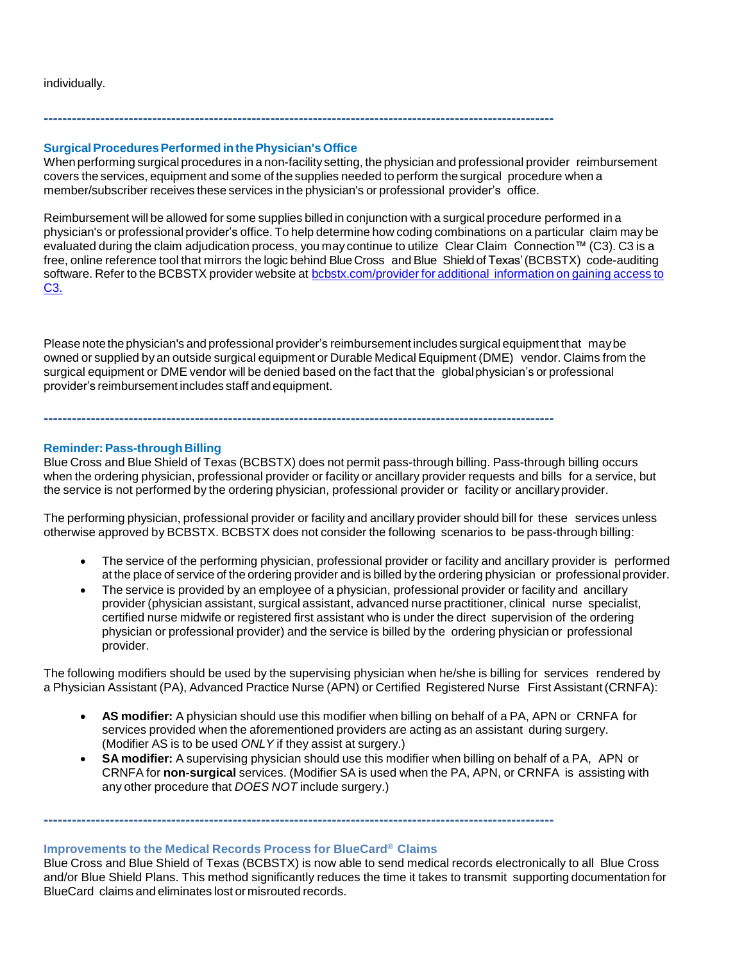individually.

#### **SurgicalProceduresPerformed inthePhysician's Office**

When performing surgical procedures in a non-facilitysetting, the physician and professional provider reimbursement covers the services, equipment and some of the supplies needed to perform the surgical procedure when a member/subscriber receives these services in the physician's or professional provider's office.

**------------------------------------------------------------------------------------------------------------**

Reimbursement will be allowed for some supplies billed in conjunction with a surgical procedure performed in a physician's or professional provider's office. To help determine how coding combinations on a particular claim may be evaluated during the claim adjudication process, you may continue to utilize Clear Claim Connection™ (C3). C3 is a free, online reference tool that mirrors the logic behind Blue Cross and Blue Shield of Texas' (BCBSTX) code-auditing software. Refer to the BCBSTX provider website at [bcbstx.com/provider](https://www.bcbstx.com/provider/tools/clear_claim_connection.html) for additional information on gaining access to [C3.](https://www.bcbstx.com/provider/tools/clear_claim_connection.html)

Please note the physician's and professional provider's reimbursement includes surgical equipment that may be owned or supplied by an outside surgical equipment or Durable Medical Equipment (DME) vendor. Claims from the surgical equipment or DME vendor will be denied based on the fact that the globalphysician's or professional provider's reimbursement includes staff andequipment.

**------------------------------------------------------------------------------------------------------------**

#### **Reminder:Pass-through Billing**

Blue Cross and Blue Shield of Texas (BCBSTX) does not permit pass-through billing. Pass-through billing occurs when the ordering physician, professional provider or facility or ancillary provider requests and bills for a service, but the service is not performed by the ordering physician, professional provider or facility or ancillaryprovider.

The performing physician, professional provider or facility and ancillary provider should bill for these services unless otherwise approved by BCBSTX. BCBSTX does not consider the following scenarios to be pass-through billing:

- The service of the performing physician, professional provider or facility and ancillary provider is performed at the place of service of the ordering provider and is billed by the ordering physician or professionalprovider.
- The service is provided by an employee of a physician, professional provider or facility and ancillary provider (physician assistant, surgical assistant, advanced nurse practitioner, clinical nurse specialist, certified nurse midwife or registered first assistant who is under the direct supervision of the ordering physician or professional provider) and the service is billed by the ordering physician or professional provider.

The following modifiers should be used by the supervising physician when he/she is billing for services rendered by a Physician Assistant (PA), Advanced Practice Nurse (APN) or Certified Registered Nurse First Assistant (CRNFA):

- **AS modifier:** A physician should use this modifier when billing on behalf of a PA, APN or CRNFA for services provided when the aforementioned providers are acting as an assistant during surgery. (Modifier AS is to be used *ONLY* if they assist at surgery.)
- **SA modifier:** A supervising physician should use this modifier when billing on behalf of a PA, APN or CRNFA for **non-surgical** services. (Modifier SA is used when the PA, APN, or CRNFA is assisting with any other procedure that *DOES NOT* include surgery.)

#### **Improvements to the Medical Records Process for BlueCard® Claims**

Blue Cross and Blue Shield of Texas (BCBSTX) is now able to send medical records electronically to all Blue Cross and/or Blue Shield Plans. This method significantly reduces the time it takes to transmit supporting documentation for BlueCard claims and eliminates lost ormisrouted records.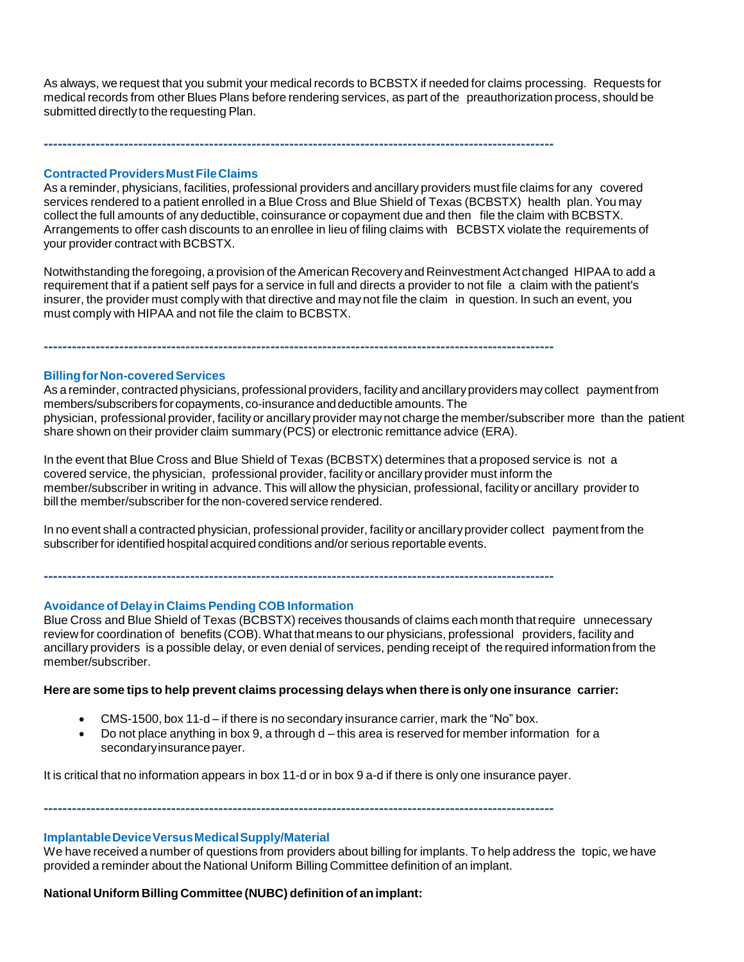As always, we request that you submit your medical records to BCBSTX if needed for claims processing. Requests for medical records from other Blues Plans before rendering services, as part of the preauthorization process, should be submitted directly to the requesting Plan.

#### **ContractedProvidersMustFileClaims**

As a reminder, physicians, facilities, professional providers and ancillary providers must file claims for any covered services rendered to a patient enrolled in a Blue Cross and Blue Shield of Texas (BCBSTX) health plan. You may collect the full amounts of any deductible, coinsurance or copayment due and then file the claim with BCBSTX. Arrangements to offer cash discounts to an enrollee in lieu of filing claims with BCBSTX violate the requirements of your provider contract with BCBSTX.

Notwithstanding the foregoing, a provision of theAmerican Recoveryand Reinvestment Act changed HIPAA to add a requirement that if a patient self pays for a service in full and directs a provider to not file a claim with the patient's insurer, the provider must comply with that directive and may not file the claim in question. In such an event, you must comply with HIPAA and not file the claim to BCBSTX.

**------------------------------------------------------------------------------------------------------------**

**------------------------------------------------------------------------------------------------------------**

#### **BillingforNon-coveredServices**

As a reminder, contracted physicians, professional providers, facilityand ancillaryproviders may collect paymentfrom members/subscribers for copayments, co-insurance anddeductible amounts.The physician, professional provider, facility or ancillary provider maynot charge the member/subscriber more than the patient share shown on their provider claim summary(PCS) or electronic remittance advice (ERA).

In the event that Blue Cross and Blue Shield of Texas (BCBSTX) determines that a proposed service is not a covered service, the physician, professional provider, facility or ancillary provider must inform the member/subscriber in writing in advance. This will allow the physician, professional, facility or ancillary provider to bill the member/subscriber forthe non-covered service rendered.

In no event shall a contracted physician, professional provider, facility or ancillary provider collect payment from the subscriber for identified hospital acquired conditions and/or serious reportable events.

**------------------------------------------------------------------------------------------------------------**

#### **Avoidance of Delayin Claims Pending COB Information**

Blue Cross and Blue Shield of Texas (BCBSTX) receives thousands of claims each month thatrequire unnecessary review for coordination of benefits (COB).What that means to our physicians, professional providers, facility and ancillary providers is a possible delay, or even denial of services, pending receipt of the required information from the member/subscriber.

#### **Here are some tips to help prevent claims processing delays when there is only one insurance carrier:**

- CMS-1500, box 11-d if there is no secondary insurance carrier, mark the "No" box.
- $\bullet$  Do not place anything in box 9, a through  $d$  this area is reserved for member information for a secondary insurance payer.

It is critical that no information appears in box 11-d or in box 9 a-d if there is only one insurance payer.

**------------------------------------------------------------------------------------------------------------**

#### **ImplantableDeviceVersusMedicalSupply/Material**

We have received a number of questions from providers about billing for implants. To help address the topic, we have provided a reminder about the National Uniform Billing Committee definition of an implant.

#### **National Uniform Billing Committee (NUBC) definition of animplant:**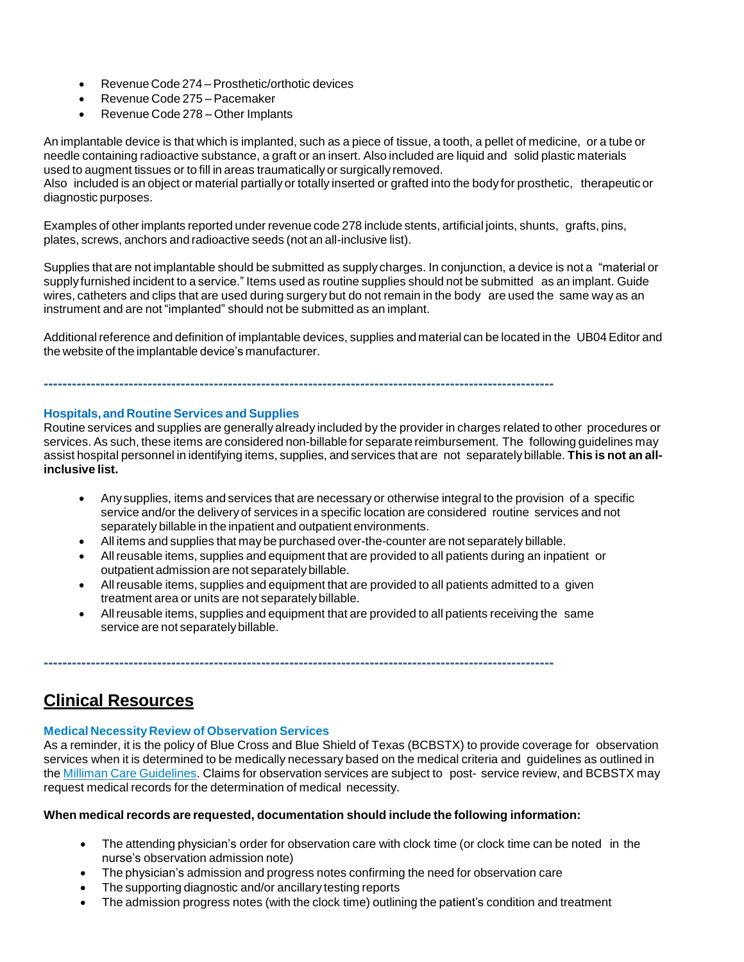- Revenue Code 274 Prosthetic/orthotic devices
- Revenue Code 275 Pacemaker
- Revenue Code 278 Other Implants

An implantable device is that which is implanted, such as a piece of tissue, a tooth, a pellet of medicine, or a tube or needle containing radioactive substance, a graft or an insert. Also included are liquid and solid plastic materials used to augment tissues or to fill in areas traumatically or surgically removed.

Also included is an object or material partially or totally inserted or grafted into the body for prosthetic, therapeutic or diagnostic purposes.

Examples of other implants reported under revenue code 278 include stents, artificial joints, shunts, grafts, pins, plates, screws, anchors and radioactive seeds (not an all-inclusive list).

Supplies that are not implantable should be submitted as supply charges. In conjunction, a device is not a "material or supply furnished incident to a service." Items used as routine supplies should not be submitted as an implant. Guide wires, catheters and clips that are used during surgery but do not remain in the body are used the same way as an instrument and are not "implanted" should not be submitted as an implant.

Additional reference and definition of implantable devices, supplies and material can be located in the UB04Editor and the website of the implantable device's manufacturer.

### **Hospitals, and Routine Services and Supplies**

Routine services and supplies are generally already included by the provider in charges related to other procedures or services. As such, these items are considered non-billable for separate reimbursement. The following guidelines may assist hospital personnel in identifying items, supplies, and services that are not separately billable. **This is not an allinclusive list.**

- Anysupplies, items and services that are necessary or otherwise integral to the provision of a specific service and/or the delivery of services in a specific location are considered routine services and not separately billable in the inpatient and outpatient environments.
- All items and supplies that maybe purchased over-the-counter are not separately billable.

**------------------------------------------------------------------------------------------------------------**

- Allreusable items, supplies and equipment that are provided to all patients during an inpatient or outpatient admission are not separatelybillable.
- Allreusable items, supplies and equipment that are provided to all patients admitted to a given treatment area or units are not separately billable.
- Allreusable items, supplies and equipment that are provided to all patients receiving the same service are not separately billable.

**------------------------------------------------------------------------------------------------------------**

# **Clinical Resources**

### **Medical NecessityReview of Observation Services**

As a reminder, it is the policy of Blue Cross and Blue Shield of Texas (BCBSTX) to provide coverage for observation services when it is determined to be medically necessary based on the medical criteria and guidelines as outlined in the Milliman Care [Guidelines.](https://www.mcg.com/care-guidelines/care-guidelines/?gclid=EAIaIQobChMI_PTXromB3QIVBgtpCh09pw0pEAAYASAAEgJaQfD_BwE) Claims for observation services are subject to post- service review, and BCBSTX may request medical records for the determination of medical necessity.

#### **When medicalrecords are requested, documentation should include the following information:**

- The attending physician's order for observation care with clock time (or clock time can be noted in the nurse's observation admission note)
- The physician's admission and progress notes confirming the need for observation care
- The supporting diagnostic and/or ancillary testing reports
- The admission progress notes (with the clock time) outlining the patient's condition and treatment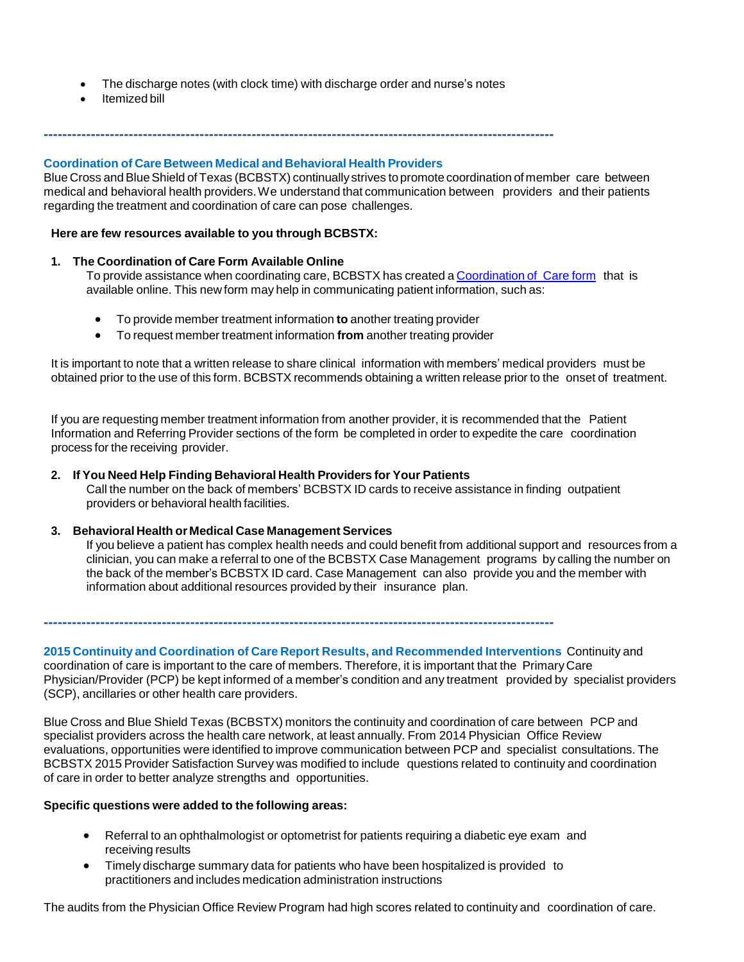- The discharge notes (with clock time) with discharge order and nurse's notes
- Itemized bill

**------------------------------------------------------------------------------------------------------------**

#### **Coordination of Care Between Medical and Behavioral Health Providers**

Blue Cross and Blue Shield of Texas (BCBSTX) continually strives to promote coordination of member care between medical and behavioral health providers.We understand that communication between providers and their patients regarding the treatment and coordination of care can pose challenges.

#### **Here are few resources available to you through BCBSTX:**

#### **1. The Coordination of Care Form Available Online**

To provide assistance when coordinating care, BCBSTX has created a [Coordination](http://www.bcbstx.com/provider/pdf/bh_coordination_care.pdf) of Care form that is available online. This new form may help in communicating patient information, such as:

- To provide member treatment information **to** another treating provider
- To request member treatment information **from** another treating provider

It is important to note that a written release to share clinical information with members' medical providers must be obtained prior to the use of this form. BCBSTX recommends obtaining a written release prior to the onset of treatment.

If you are requesting member treatment information from another provider, it is recommended that the Patient Information and Referring Provider sections of the form be completed in order to expedite the care coordination process for the receiving provider.

#### **2. If You Need Help Finding Behavioral Health Providers for Your Patients**

Call the number on the back of members' BCBSTX ID cards to receive assistance in finding outpatient providers or behavioral health facilities.

#### **3. Behavioral Health or Medical Case Management Services**

If you believe a patient has complex health needs and could benefit from additional support and resources from a clinician, you can make a referral to one of the BCBSTX Case Management programs by calling the number on the back of the member's BCBSTX ID card. Case Management can also provide you and the member with information about additional resources provided by their insurance plan.

**------------------------------------------------------------------------------------------------------------**

**2015 Continuity and Coordination of Care Report Results, and Recommended Interventions** Continuity and coordination of care is important to the care of members. Therefore, it is important that the Primary Care

Physician/Provider (PCP) be kept informed of a member's condition and any treatment provided by specialist providers (SCP), ancillaries or other health care providers.

Blue Cross and Blue Shield Texas (BCBSTX) monitors the continuity and coordination of care between PCP and specialist providers across the health care network, at least annually. From 2014 Physician Office Review evaluations, opportunities were identified to improve communication between PCP and specialist consultations. The BCBSTX 2015 Provider Satisfaction Survey was modified to include questions related to continuity and coordination of care in order to better analyze strengths and opportunities.

#### **Specific questions were added to the following areas:**

- Referral to an ophthalmologist or optometrist for patients requiring a diabetic eye exam and receiving results
- Timely discharge summary data for patients who have been hospitalized is provided to practitioners and includes medication administration instructions

The audits from the Physician Office Review Program had high scores related to continuity and coordination of care.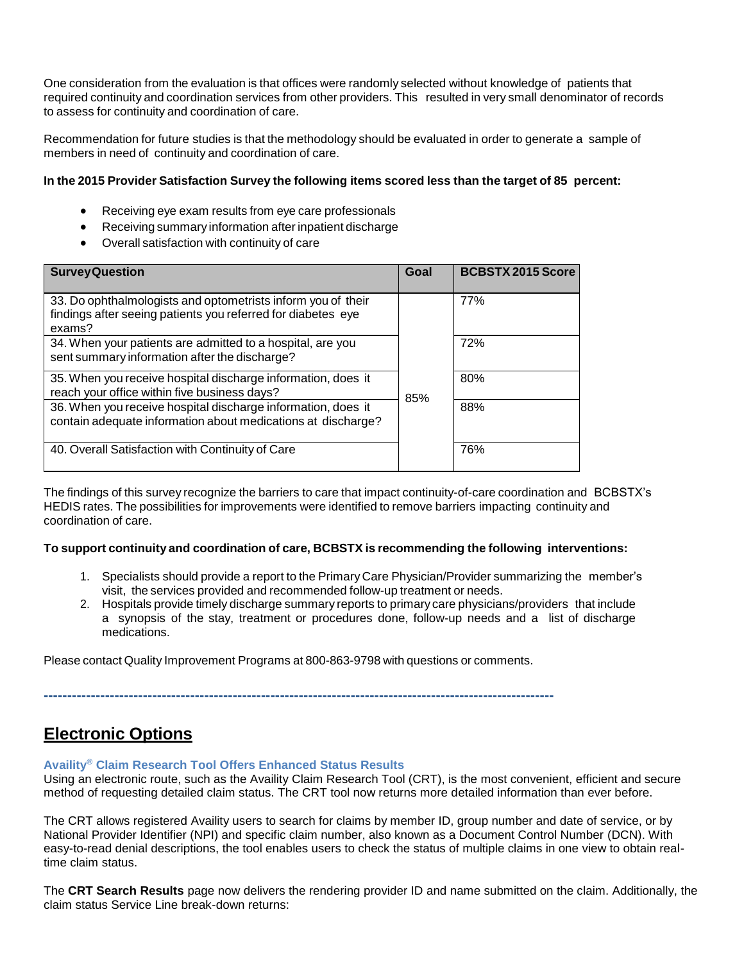One consideration from the evaluation is that offices were randomly selected without knowledge of patients that required continuity and coordination services from other providers. This resulted in very small denominator of records to assess for continuity and coordination of care.

Recommendation for future studies is that the methodology should be evaluated in order to generate a sample of members in need of continuity and coordination of care.

#### **In the 2015 Provider Satisfaction Survey the following items scored less than the target of 85 percent:**

- Receiving eye exam results from eye care professionals
- Receiving summary information after inpatient discharge
- Overall satisfaction with continuity of care

| <b>Survey Question</b>                                                                                                                 | Goal | <b>BCBSTX 2015 Score</b> |
|----------------------------------------------------------------------------------------------------------------------------------------|------|--------------------------|
| 33. Do ophthalmologists and optometrists inform you of their<br>findings after seeing patients you referred for diabetes eye<br>exams? |      | 77%                      |
| 34. When your patients are admitted to a hospital, are you<br>sent summary information after the discharge?                            |      | 72%                      |
| 35. When you receive hospital discharge information, does it<br>reach your office within five business days?                           | 85%  | 80%                      |
| 36. When you receive hospital discharge information, does it<br>contain adequate information about medications at discharge?           |      | 88%                      |
| 40. Overall Satisfaction with Continuity of Care                                                                                       |      | 76%                      |

The findings of this survey recognize the barriers to care that impact continuity-of-care coordination and BCBSTX's HEDIS rates. The possibilities for improvements were identified to remove barriers impacting continuity and coordination of care.

#### **To support continuity and coordination of care, BCBSTX is recommending the following interventions:**

- 1. Specialists should provide a report to the Primary Care Physician/Provider summarizing the member's visit, the services provided and recommended follow-up treatment or needs.
- 2. Hospitals provide timely discharge summary reports to primary care physicians/providers that include a synopsis of the stay, treatment or procedures done, follow-up needs and a list of discharge medications.

Please contact Quality Improvement Programs at 800-863-9798 with questions or comments.

**------------------------------------------------------------------------------------------------------------**

### **Electronic Options**

### **Availity® Claim Research Tool Offers Enhanced Status Results**

Using an electronic route, such as the Availity Claim Research Tool (CRT), is the most convenient, efficient and secure method of requesting detailed claim status. The CRT tool now returns more detailed information than ever before.

The CRT allows registered Availity users to search for claims by member ID, group number and date of service, or by National Provider Identifier (NPI) and specific claim number, also known as a Document Control Number (DCN). With easy-to-read denial descriptions, the tool enables users to check the status of multiple claims in one view to obtain realtime claim status.

The **CRT Search Results** page now delivers the rendering provider ID and name submitted on the claim. Additionally, the claim status Service Line break-down returns: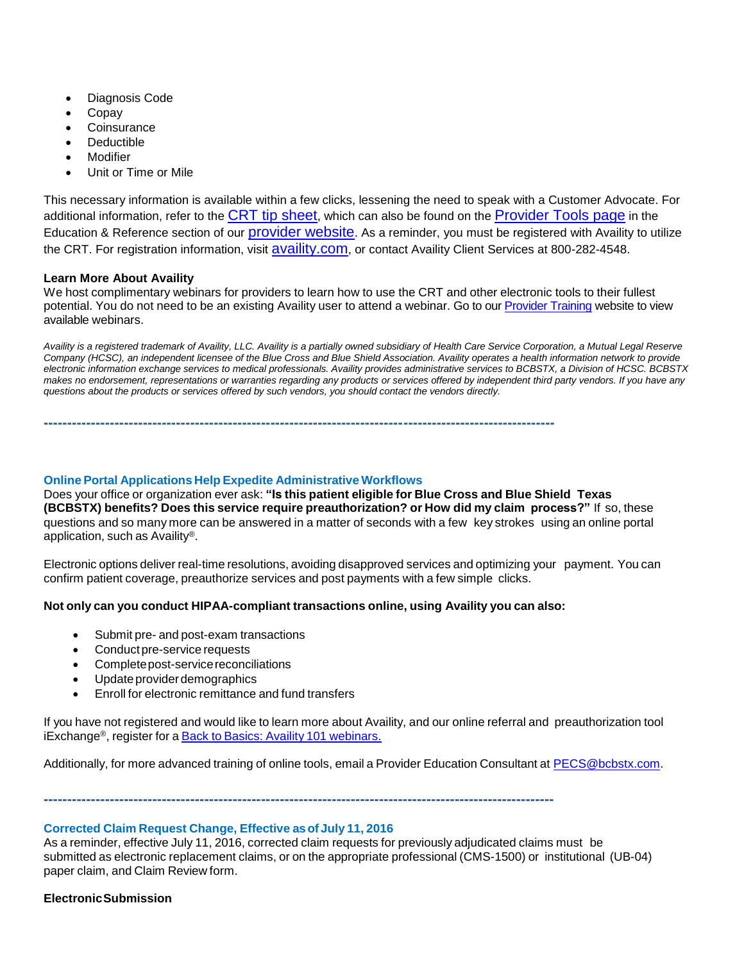- Diagnosis Code
- Copay
- **Coinsurance**
- Deductible
- Modifier
- Unit or Time or Mile

This necessary information is available within a few clicks, lessening the need to speak with a Customer Advocate. For additional information, refer to the [CRT tip sheet](https://www.bcbstx.com/provider/pdf/availity_crt_online_tip_sheet.pdf), which can also be found on the [Provider Tools page](https://www.bcbstx.com/provider/tools/index.html) in the Education & Reference section of our [provider website](https://www.bcbstx.com/provider/). As a reminder, you must be registered with Availity to utilize the CRT. For registration information, visit [availity.com](https://www.availity.com/), or contact Availity Client Services at 800-282-4548.

#### **Learn More About Availity**

We host complimentary webinars for providers to learn how to use the CRT and other electronic tools to their fullest potential. You do not need to be an existing Availity user to attend a webinar. Go to ou[r Provider Training](https://www.bcbstx.com/provider/training/index.html) website to view available webinars.

*Availity is a registered trademark of Availity, LLC. Availity is a partially owned subsidiary of Health Care Service Corporation, a Mutual Legal Reserve Company (HCSC), an independent licensee of the Blue Cross and Blue Shield Association. Availity operates a health information network to provide electronic information exchange services to medical professionals. Availity provides administrative services to BCBSTX, a Division of HCSC. BCBSTX makes no endorsement, representations or warranties regarding any products or services offered by independent third party vendors. If you have any questions about the products or services offered by such vendors, you should contact the vendors directly.*

#### **Online Portal Applications Help Expedite Administrative Workflows**

Does your office or organization ever ask: **"Is this patient eligible for Blue Cross and Blue Shield Texas (BCBSTX) benefits? Does this service require preauthorization? or How did my claim process?"** If so, these questions and so many more can be answered in a matter of seconds with a few key strokes using an online portal application, such as Availity®.

Electronic options deliver real-time resolutions, avoiding disapproved services and optimizing your payment. You can confirm patient coverage, preauthorize services and post payments with a few simple clicks.

#### **Not only can you conduct HIPAA-compliant transactions online, using Availity you can also:**

**------------------------------------------------------------------------------------------------------------**

- Submit pre- and post-exam transactions
- Conduct pre-service requests
- Complete post-service reconciliations
- Update provider demographics
- Enroll for electronic remittance and fund transfers

If you have not registered and would like to learn more about Availity, and our online referral and preauthorization tool iExchange®, register for a Back to Basics: Availity 101 [webinars](http://www.bcbstx.com/provider/training/availity.html).

Additionally, for more advanced training of online tools, email a Provider Education Consultant at [PECS@bcbstx.com.](mailto:PECS@bcbstx.com)

**------------------------------------------------------------------------------------------------------------**

#### **Corrected Claim Request Change, Effective asof July 11, 2016**

As a reminder, effective July 11, 2016, corrected claim requests for previously adjudicated claims must be submitted as electronic replacement claims, or on the appropriate professional (CMS-1500) or institutional (UB-04) paper claim, and Claim Review form.

#### **ElectronicSubmission**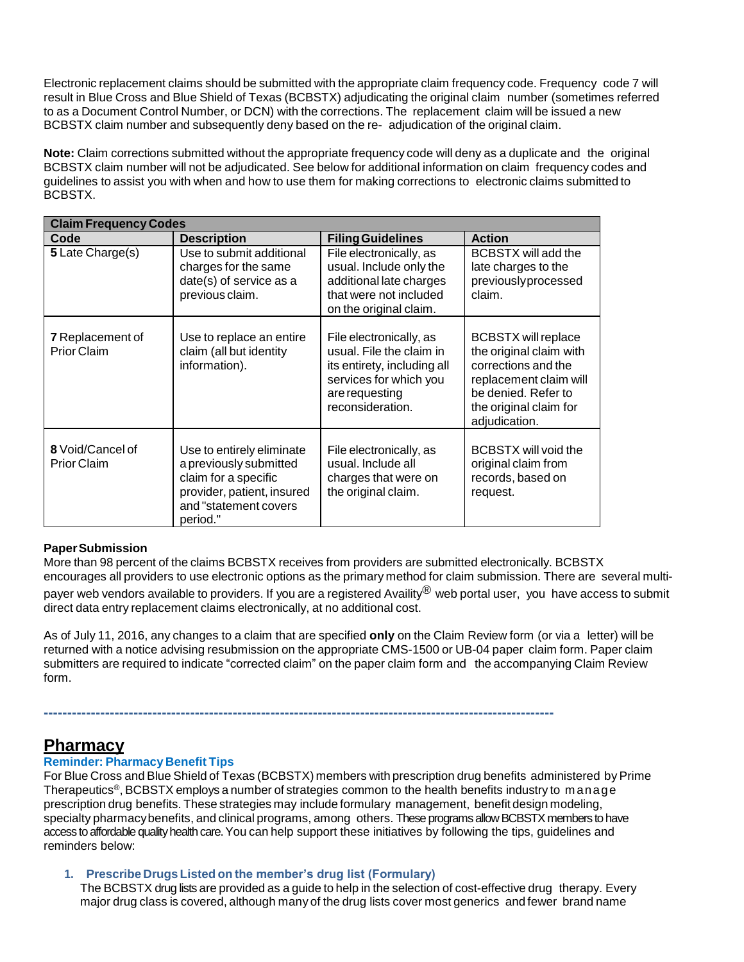Electronic replacement claims should be submitted with the appropriate claim frequency code. Frequency code 7 will result in Blue Cross and Blue Shield of Texas (BCBSTX) adjudicating the original claim number (sometimes referred to as a Document Control Number, or DCN) with the corrections. The replacement claim will be issued a new BCBSTX claim number and subsequently deny based on the re- adjudication of the original claim.

**Note:** Claim corrections submitted without the appropriate frequency code will deny as a duplicate and the original BCBSTX claim number will not be adjudicated. See below for additional information on claim frequency codes and guidelines to assist you with when and how to use them for making corrections to electronic claims submitted to BCBSTX.

| <b>Claim Frequency Codes</b>           |                                                                                                                                                |                                                                                                                                                    |                                                                                                                                                                          |  |
|----------------------------------------|------------------------------------------------------------------------------------------------------------------------------------------------|----------------------------------------------------------------------------------------------------------------------------------------------------|--------------------------------------------------------------------------------------------------------------------------------------------------------------------------|--|
| Code                                   | <b>Description</b>                                                                                                                             | <b>Filing Guidelines</b>                                                                                                                           | <b>Action</b>                                                                                                                                                            |  |
| 5 Late Charge(s)                       | Use to submit additional<br>charges for the same<br>date(s) of service as a<br>previous claim.                                                 | File electronically, as<br>usual. Include only the<br>additional late charges<br>that were not included<br>on the original claim.                  | <b>BCBSTX</b> will add the<br>late charges to the<br>previouslyprocessed<br>claim.                                                                                       |  |
| 7 Replacement of<br><b>Prior Claim</b> | Use to replace an entire<br>claim (all but identity<br>information).                                                                           | File electronically, as<br>usual. File the claim in<br>its entirety, including all<br>services for which you<br>are requesting<br>reconsideration. | <b>BCBSTX will replace</b><br>the original claim with<br>corrections and the<br>replacement claim will<br>be denied. Refer to<br>the original claim for<br>adjudication. |  |
| 8 Void/Cancel of<br><b>Prior Claim</b> | Use to entirely eliminate<br>a previously submitted<br>claim for a specific<br>provider, patient, insured<br>and "statement covers<br>period." | File electronically, as<br>usual. Include all<br>charges that were on<br>the original claim.                                                       | <b>BCBSTX will void the</b><br>original claim from<br>records, based on<br>request.                                                                                      |  |

#### **PaperSubmission**

More than 98 percent of the claims BCBSTX receives from providers are submitted electronically. BCBSTX encourages all providers to use electronic options as the primary method for claim submission. There are several multi-

payer web vendors available to providers. If you are a registered Availity® web portal user, you have access to submit direct data entry replacement claims electronically, at no additional cost.

As of July 11, 2016, any changes to a claim that are specified **only** on the Claim Review form (or via a letter) will be returned with a notice advising resubmission on the appropriate CMS-1500 or UB-04 paper claim form. Paper claim submitters are required to indicate "corrected claim" on the paper claim form and the accompanying Claim Review form.

**------------------------------------------------------------------------------------------------------------**

### **Pharmacy**

### **Reminder: Pharmacy Benefit Tips**

For Blue Cross and Blue Shield of Texas (BCBSTX) members with prescription drug benefits administered byPrime Therapeutics®, BCBSTX employs a number of strategies common to the health benefits industry to m anage prescription drug benefits. These strategies may include formulary management, benefit design modeling, specialty pharmacybenefits, and clinical programs, among others. These programs allow BCBSTX members to have access to affordable quality health care. You can help support these initiatives by following the tips, guidelines and reminders below:

#### **1. Prescribe Drugs Listed on the member's drug list (Formulary)**

The BCBSTX drug lists are provided as a guide to help in the selection of cost-effective drug therapy. Every major drug class is covered, although many of the drug lists cover most generics and fewer brand name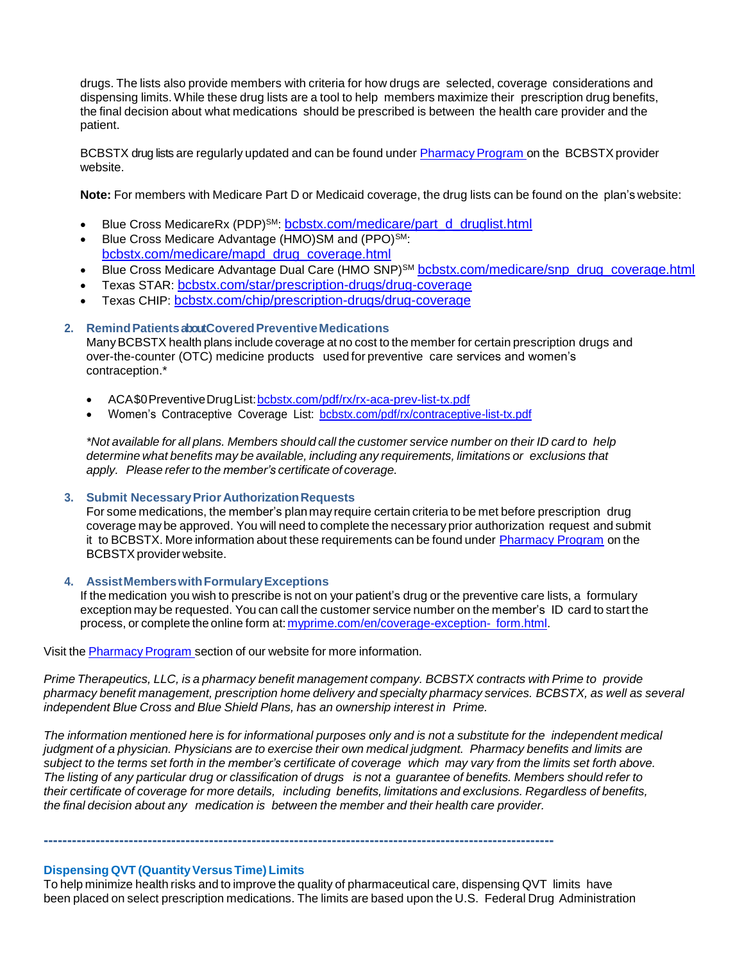drugs. The lists also provide members with criteria for how drugs are selected, coverage considerations and dispensing limits. While these drug lists are a tool to help members maximize their prescription drug benefits, the final decision about what medications should be prescribed is between the health care provider and the patient.

BCBSTX drug lists are regularly updated and can be found under Pharmacy Program on the BCBSTX provider website.

**Note:** For members with Medicare Part D or Medicaid coverage, the drug lists can be found on the plan's website:

- Blue Cross MedicareRx (PDP)<sup>SM</sup>: [bcbstx.com/medicare/part\\_d\\_druglist.html](http://www.bcbstx.com/medicare/part_d_druglist.html)
- Blue Cross Medicare Advantage (HMO)SM and (PPO)SM: [bcbstx.com/medicare/mapd\\_drug\\_coverage.html](http://www.bcbstx.com/medicare/mapd_drug_coverage.html)
- Blue Cross Medicare Advantage Dual Care (HMO SNP)<sup>SM</sup> [bcbstx.com/medicare/snp\\_drug\\_coverage.html](http://www.bcbstx.com/medicare/snp_drug_coverage.html)
- Texas STAR: [bcbstx.com/star/prescription-drugs/drug-coverage](http://www.bcbstx.com/star/prescription-drugs/drug-coverage)
- Texas CHIP: [bcbstx.com/chip/prescription-drugs/drug-coverage](http://www.bcbstx.com/chip/prescription-drugs/drug-coverage)
- **2. RemindPatientsabout CoveredPreventiveMedications**

ManyBCBSTX health plans include coverage at no cost to the member for certain prescription drugs and over-the-counter (OTC) medicine products used for preventive care services and women's contraception.\*

- ACA\$0PreventiveDrugList[:bcbstx.com/pdf/rx/rx-aca-prev-list-tx.pdf](http://www.bcbstx.com/pdf/rx/rx-aca-prev-list-tx.pdf)
- Women's Contraceptive Coverage List: [bcbstx.com/pdf/rx/contraceptive-list-tx.pdf](http://www.bcbstx.com/pdf/rx/contraceptive-list-tx.pdf)

\*Not available for all plans. Members should call the customer service number on their ID card to help *determine what benefits may be available, including any requirements, limitations or exclusions that apply. Please refer to the member's certificate of coverage.*

#### **3. Submit NecessaryPrior AuthorizationRequests**

For some medications, the member's planmay require certain criteria to be met before prescription drug coverage may be approved. You will need to complete the necessary prior authorization request and submit it to BCBSTX. More information about these requirements can be found under [Pharmacy Program](https://www.bcbstx.com/provider/pharmacy/pa_step_therapy.html) on the BCBSTX provider website.

#### **4. AssistMemberswithFormularyExceptions**

If the medication you wish to prescribe is not on your patient's drug or the preventive care lists, a formulary exception may be requested. You can call the customer service number on the member's ID card to start the process, or complete the online form at: [myprime.com/en/coverage-exception-](http://www.myprime.com/en/coverage-exception-form.html) [form.html.](http://www.myprime.com/en/coverage-exception-form.html)

Visit the Pharmacy Program section of our website for more information.

*Prime Therapeutics, LLC, is a pharmacy benefit management company. BCBSTX contracts with Prime to provide pharmacy benefit management, prescription home delivery and specialty pharmacy services. BCBSTX, as well as several independent Blue Cross and Blue Shield Plans, has an ownership interest in Prime.*

The information mentioned here is for informational purposes only and is not a substitute for the independent medical judgment of a physician. Physicians are to exercise their own medical judgment. Pharmacy benefits and limits are subject to the terms set forth in the member's certificate of coverage which may vary from the limits set forth above. The listing of any particular drug or classification of drugs is not a guarantee of benefits. Members should refer to *their certificate of coverage for more details, including benefits, limitations and exclusions. Regardless of benefits, the final decision about any medication is between the member and their health care provider.*

**------------------------------------------------------------------------------------------------------------**

#### **Dispensing QVT (Quantity Versus Time) Limits**

To help minimize health risks and to improve the quality of pharmaceutical care, dispensing QVT limits have been placed on select prescription medications. The limits are based upon the U.S. Federal Drug Administration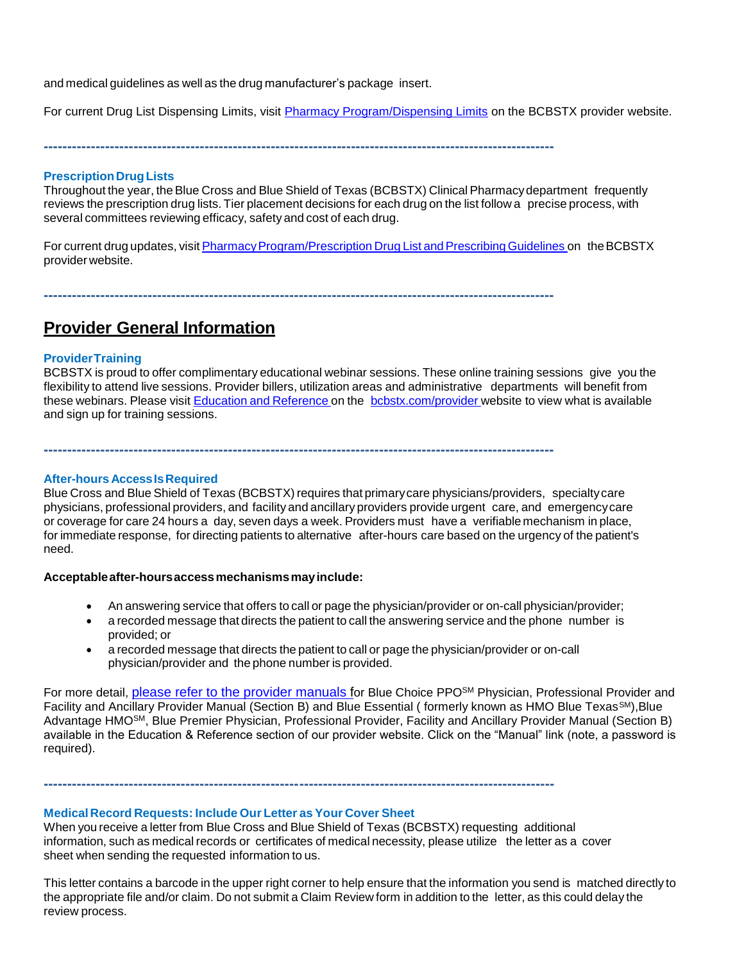and medical guidelines as well as the drug manufacturer's package insert.

For current Drug List Dispensing Limits, visit [Pharmacy Program/Dispensing Limits](https://www.bcbstx.com/provider/pharmacy/quantity_time.html) on the BCBSTX provider website.

**------------------------------------------------------------------------------------------------------------**

#### **PrescriptionDrugLists**

Throughout the year, theBlue Cross and Blue Shield of Texas (BCBSTX) Clinical Pharmacydepartment frequently reviews the prescription drug lists. Tier placement decisions for each drug on the list follow a precise process, with several committees reviewing efficacy, safety and cost of each drug.

For current drug updates, visit Pharmacy Program/Prescription Drug List and Prescribing Guidelines on the BCBSTX provider website.

**------------------------------------------------------------------------------------------------------------**

# **Provider General Information**

### **ProviderTraining**

BCBSTX is proud to offer complimentary educational webinar sessions. These online training sessions give you the flexibility to attend live sessions. Provider billers, utilization areas and administrative departments will benefit from these webinars. Please visit Education and [Reference](http://www.bcbstx.com/provider/training/index.html) on the [bcbstx.com/provider](http://www.bcbstx.com/provider/index.html) website to view what is available and sign up for training sessions.

**------------------------------------------------------------------------------------------------------------**

#### **After-hours AccessIsRequired**

Blue Cross and Blue Shield of Texas (BCBSTX) requires that primary care physicians/providers, specialty care physicians, professional providers, and facility and ancillary providers provide urgent care, and emergencycare or coverage for care 24 hours a day, seven days a week. Providers must have a verifiable mechanism in place, for immediate response, for directing patients to alternative after-hours care based on the urgency of the patient's need.

#### **Acceptableafter-hoursaccessmechanismsmayinclude:**

- An answering service that offers to call or page the physician/provider or on-call physician/provider;
- a recorded message that directs the patient to call the answering service and the phone number is provided; or
- a recorded message that directs the patient to call or page the physician/provider or on-call physician/provider and the phone number is provided.

For more detail, [please refer to the provider manuals](https://www.bcbstx.com/provider/gri/index.html) for Blue Choice PPO<sup>SM</sup> Physician, Professional Provider and Facility and Ancillary Provider Manual (Section B) and Blue Essential (formerly known as HMO Blue Texas<sup>SM</sup>), Blue Advantage HMOSM, Blue Premier Physician, Professional Provider, Facility and Ancillary Provider Manual (Section B) available in the Education & Reference section of our provider website. Click on the "Manual" link (note, a password is required).

**------------------------------------------------------------------------------------------------------------**

#### **Medical Record Requests: Include Our Letter as Your Cover Sheet**

When you receive a letter from Blue Cross and Blue Shield of Texas (BCBSTX) requesting additional information, such as medical records or certificates of medical necessity, please utilize the letter as a cover sheet when sending the requested information to us.

This letter contains a barcode in the upper right corner to help ensure that the information you send is matched directly to the appropriate file and/or claim. Do not submit a Claim Review form in addition to the letter, as this could delay the review process.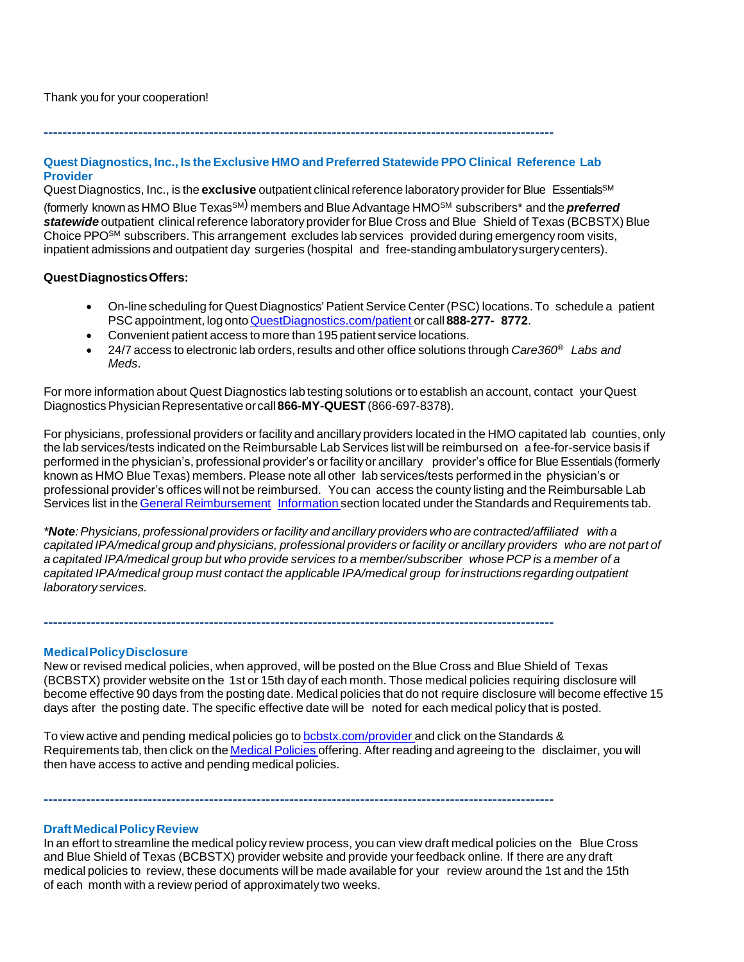### Thank youfor your cooperation!

### **Quest Diagnostics, Inc., Is theExclusive HMO and Preferred Statewide PPO Clinical Reference Lab Provider**

**------------------------------------------------------------------------------------------------------------**

Quest Diagnostics, Inc., is the **exclusive** outpatient clinical reference laboratory provider for Blue Essentials<sup>SM</sup>

(formerly known as HMO Blue Texas SM) members and Blue Advantage HMOSM subscribers\* and the *preferred* statewide outpatient clinical reference laboratory provider for Blue Cross and Blue Shield of Texas (BCBSTX) Blue Choice PPO<sup>SM</sup> subscribers. This arrangement excludes lab services provided during emergency room visits, inpatient admissions and outpatient day surgeries (hospital and free-standingambulatorysurgerycenters).

### **QuestDiagnosticsOffers:**

- On-linescheduling for Quest Diagnostics' Patient Service Center (PSC) locations. To schedule a patient PSC appointment, log onto QuestDiagnostics.com/patient or call **888-277- 8772**.
- Convenient patient access to more than 195 patient service locations.
- 24/7 access to electronic lab orders,results and other office solutions through *Care360® Labs and Meds*.

For more information about Quest Diagnostics lab testing solutions or to establish an account, contact yourQuest Diagnostics PhysicianRepresentative or call **866-MY-QUEST** (866-697-8378).

For physicians, professional providers or facility and ancillary providers located in the HMO capitated lab counties, only the lab services/tests indicated on the Reimbursable Lab Services list will be reimbursed on a fee-for-service basis if performed in the physician's, professional provider's or facility or ancillary provider's office for Blue Essentials (formerly known as HMO Blue Texas) members. Please note all other lab services/tests performed in the physician's or professional provider's offices will not be reimbursed. You can access the county listing and the Reimbursable Lab Services list in the General [Reimbursement](https://www.bcbstx.com/provider/gri/index.html) [Information](http://www.pages02.net/hcscnosuppression/nlt_br_providers_june_2016_b_ok_060116_in_every_issue/LPT.url?kn=900482&amp%3Bamp%3Bvs=YTVjNjZjMzUtOGRhNi00MDUwLWI1MDAtYTg0NTI3M2JkZmUxOzA6ODk5OTgwMToyMjY0ODg5MjYwNzo5NDAwOTQyMjQ6OTQwMDk0MjI0OwS2) section located under the Standards and Requirements tab.

*\*Note:Physicians, professional providers orfacility and ancillary providers who are contracted/affiliated with a* capitated IPA/medical group and physicians, professional providers or facility or ancillary providers who are not part of a capitated IPA/medical group but who provide services to a member/subscriber whose PCP is a member of a *capitated IPA/medical group must contact the applicable IPA/medical group forinstructions regarding outpatient laboratory services.*

**MedicalPolicyDisclosure**

New or revised medical policies, when approved, will be posted on the Blue Cross and Blue Shield of Texas (BCBSTX) provider website on the 1st or 15th dayof each month. Those medical policies requiring disclosure will become effective 90 days from the posting date. Medical policies that do not require disclosure will become effective 15 days after the posting date. The specific effective date will be noted for each medical policy that is posted.

To view active and pending medical policies go to [bcbstx.com/provider](https://www.bcbstx.com/provider/) and click on the Standards & Requirements tab, then click on the [Medical](http://www.medicalpolicy.hcsc.net/medicalpolicy/disclaimer?corpEntCd=TX1) Policies offering. After reading and agreeing to the disclaimer, you will then have access to active and pending medical policies.

**------------------------------------------------------------------------------------------------------------**

**------------------------------------------------------------------------------------------------------------**

#### **DraftMedicalPolicyReview**

In an effort to streamline the medical policy review process, you can view draft medical policies on the Blue Cross and Blue Shield of Texas (BCBSTX) provider website and provide your feedback online. If there are any draft medical policies to review, these documents will be made available for your review around the 1st and the 15th of each month with a review period of approximately two weeks.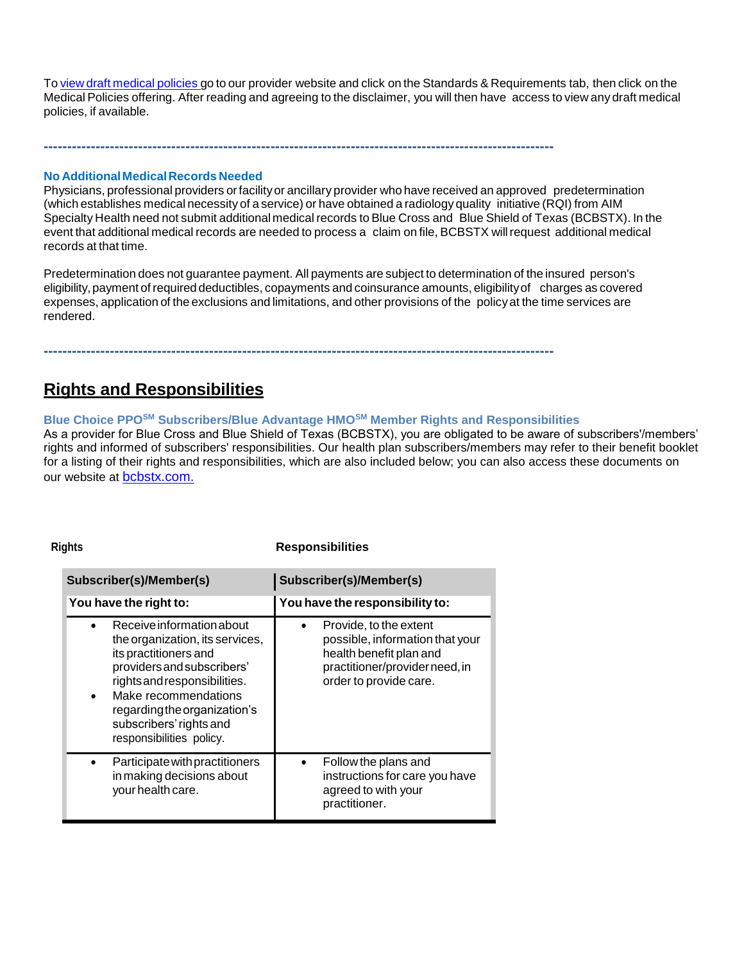To view draft [medical](http://www.medicalpolicy.hcsc.net/medicalpolicy/disclaimer?corpEntCd=TX1) policies go to our provider website and click on the Standards & Requirements tab, then click on the Medical Policies offering. After reading and agreeing to the disclaimer, you will then have access to view any draft medical policies, if available.

**------------------------------------------------------------------------------------------------------------**

#### **No AdditionalMedicalRecords Needed**

Physicians, professional providers orfacilityor ancillary provider who have received an approved predetermination (which establishes medical necessity of a service) or have obtained a radiology quality initiative (RQI) from AIM Specialty Health need not submit additional medical records to Blue Cross and Blue Shield of Texas (BCBSTX). In the event that additional medical records are needed to process a claim on file, BCBSTX willrequest additional medical records at that time.

Predetermination does not guarantee payment. All payments are subject to determination of the insured person's eligibility,payment of required deductibles, copayments and coinsurance amounts, eligibilityof charges as covered expenses, application of the exclusions and limitations, and other provisions of the policyat the time services are rendered.

## **Rights and Responsibilities**

**Blue Choice PPOSM Subscribers/Blue Advantage HMOSM Member Rights and Responsibilities**

**------------------------------------------------------------------------------------------------------------**

As a provider for Blue Cross and Blue Shield of Texas (BCBSTX), you are obligated to be aware of subscribers'/members' rights and informed of subscribers' responsibilities. Our health plan subscribers/members may refer to their benefit booklet for a listing of their rights and responsibilities, which are also included below; you can also access these documents on our website at bcbstx.com.

#### **Rights Responsibilities**

| Subscriber(s)/Member(s)                                                                                                                                                                                                                                                         | Subscriber(s)/Member(s)                                                                                                                          |
|---------------------------------------------------------------------------------------------------------------------------------------------------------------------------------------------------------------------------------------------------------------------------------|--------------------------------------------------------------------------------------------------------------------------------------------------|
| You have the right to:                                                                                                                                                                                                                                                          | You have the responsibility to:                                                                                                                  |
| Receive information about<br>the organization, its services,<br>its practitioners and<br>providers and subscribers'<br>rights and responsibilities.<br>Make recommendations<br>$\bullet$<br>regarding the organization's<br>subscribers' rights and<br>responsibilities policy. | Provide, to the extent<br>possible, information that your<br>health benefit plan and<br>practitioner/provider need, in<br>order to provide care. |
| Participate with practitioners<br>in making decisions about<br>your health care.                                                                                                                                                                                                | Follow the plans and<br>instructions for care you have<br>agreed to with your<br>practitioner.                                                   |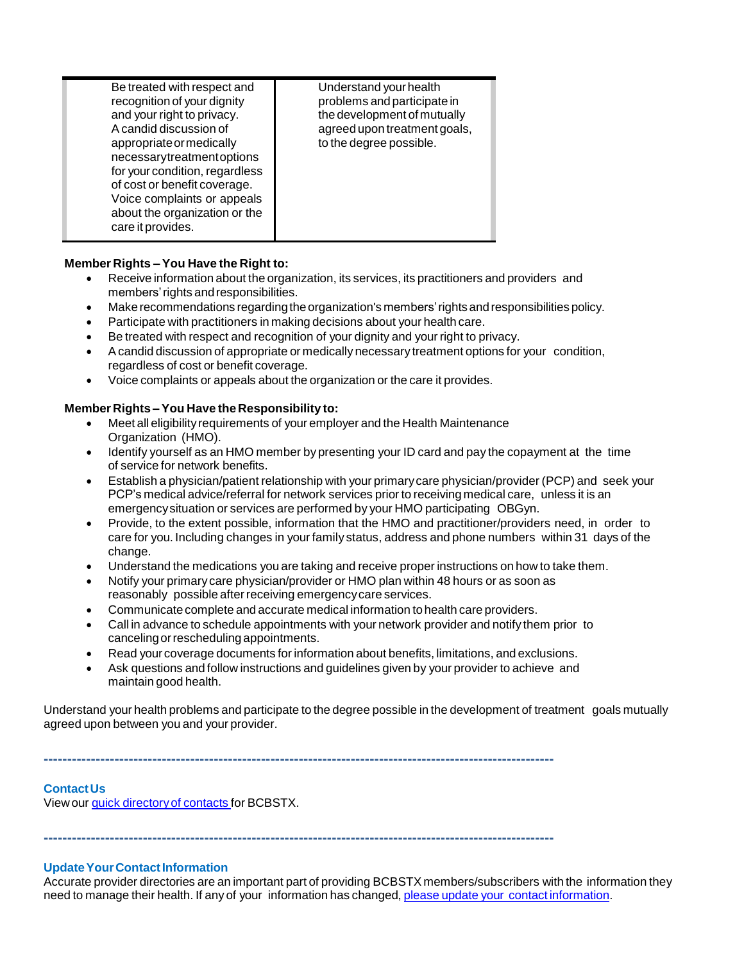| Be treated with respect and<br>recognition of your dignity<br>and your right to privacy.<br>A candid discussion of<br>appropriate or medically<br>necessarytreatmentoptions<br>for your condition, regardless<br>of cost or benefit coverage.<br>Voice complaints or appeals<br>about the organization or the<br>care it provides. | Understand your health<br>problems and participate in<br>the development of mutually<br>agreed upon treatment goals,<br>to the degree possible. |
|------------------------------------------------------------------------------------------------------------------------------------------------------------------------------------------------------------------------------------------------------------------------------------------------------------------------------------|-------------------------------------------------------------------------------------------------------------------------------------------------|
|------------------------------------------------------------------------------------------------------------------------------------------------------------------------------------------------------------------------------------------------------------------------------------------------------------------------------------|-------------------------------------------------------------------------------------------------------------------------------------------------|

### **Member Rights – You Have the Right to:**

- Receive information about the organization, its services, its practitioners and providers and members'rights andresponsibilities.
- Makerecommendations regardingtheorganization's members'rights andresponsibilities policy.
- Participate with practitioners in making decisions about your health care.
- Be treated with respect and recognition of your dignity and your right to privacy.
- Acandid discussion of appropriate or medically necessary treatment options for your condition, regardless of cost or benefit coverage.
- Voice complaints or appeals about the organization or the care it provides.

### **Member Rights – You Have the Responsibility to:**

- Meet all eligibilityrequirements of your employer and the Health Maintenance Organization (HMO).
- Identify yourself as an HMO member bypresenting your ID card and pay the copayment at the time of service for network benefits.
- Establish a physician/patient relationship with your primarycare physician/provider (PCP) and seek your PCP's medical advice/referral for network services prior to receiving medical care, unless it is an emergencysituation or services are performed by your HMO participating OBGyn.
- Provide, to the extent possible, information that the HMO and practitioner/providers need, in order to care for you. Including changes in your family status, address and phone numbers within 31 days of the change.
- Understand the medications you are taking and receive proper instructions on how to take them.
- Notify your primarycare physician/provider or HMO plan within 48 hours or as soon as reasonably possible afterreceiving emergencycare services.
- Communicate complete and accurate medical information to health care providers.
- Call in advance to schedule appointments with your network provider and notify them prior to cancelingorrescheduling appointments.
- Read your coverage documents forinformation about benefits, limitations, and exclusions.
- Ask questions and follow instructions and guidelines given by your provider to achieve and maintain good health.

Understand your health problems and participate to the degree possible in the development of treatment goals mutually agreed upon between you and your provider.

**------------------------------------------------------------------------------------------------------------**

### **ContactUs**

Viewour quick [directoryof](http://www.bcbstx.com/provider/contact_us.html) contacts for BCBSTX.

**------------------------------------------------------------------------------------------------------------**

#### **Update Your Contact Information**

Accurate provider directories are an important part of providing BCBSTX members/subscribers with the information they need to manage their health. If any of your information has changed, please update your contact [information.](http://www.pages02.net/hcscnosuppression/nlt_april_2016_p_br_provider_tx_040616_UpdateContactInfo/)